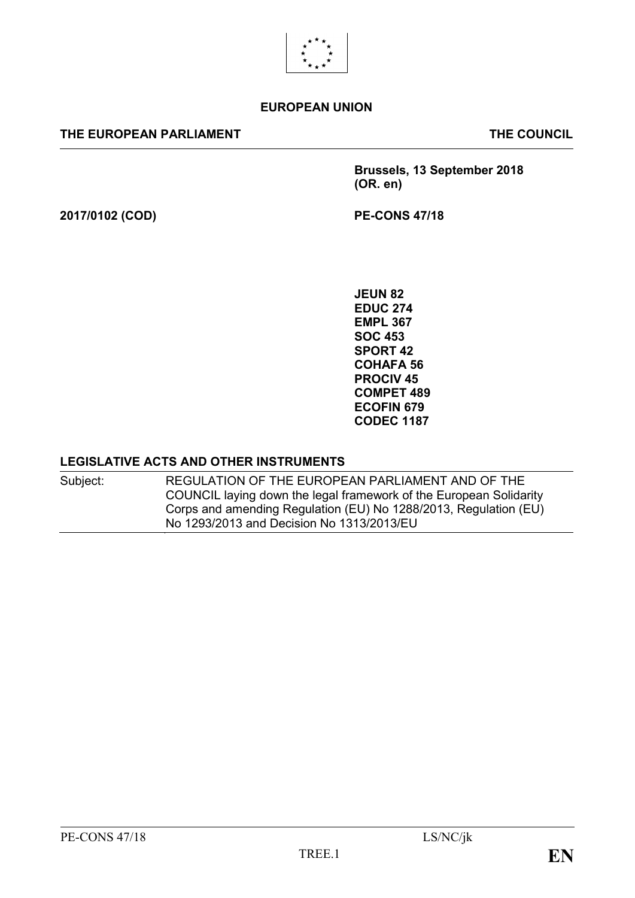

#### **EUROPEAN UNION**

#### **THE EUROPEAN PARLIAMENT THE COUNCIL**

**Brussels, 13 September 2018 (OR. en)**

**2017/0102 (COD) PE-CONS 47/18**

**JEUN 82 EDUC 274 EMPL 367 SOC 453 SPORT 42 COHAFA 56 PROCIV 45 COMPET 489 ECOFIN 679 CODEC 1187**

#### **LEGISLATIVE ACTS AND OTHER INSTRUMENTS**

Subject: REGULATION OF THE EUROPEAN PARLIAMENT AND OF THE COUNCIL laying down the legal framework of the European Solidarity Corps and amending Regulation (EU) No 1288/2013, Regulation (EU) No 1293/2013 and Decision No 1313/2013/EU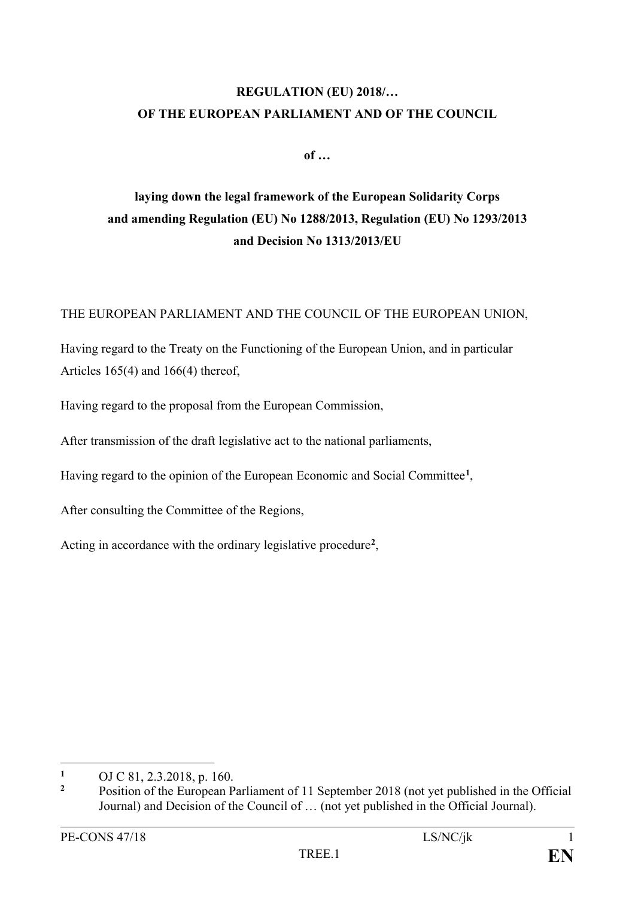### **REGULATION (EU) 2018/… OF THE EUROPEAN PARLIAMENT AND OF THE COUNCIL**

**of …**

### **laying down the legal framework of the European Solidarity Corps and amending Regulation (EU) No 1288/2013, Regulation (EU) No 1293/2013 and Decision No 1313/2013/EU**

THE EUROPEAN PARLIAMENT AND THE COUNCIL OF THE EUROPEAN UNION,

Having regard to the Treaty on the Functioning of the European Union, and in particular Articles 165(4) and 166(4) thereof,

Having regard to the proposal from the European Commission,

After transmission of the draft legislative act to the national parliaments,

Having regard to the opinion of the European Economic and Social Committee**[1](#page-1-0)**,

After consulting the Committee of the Regions,

Acting in accordance with the ordinary legislative procedure**[2](#page-1-1)**,

<span id="page-1-0"></span> $\mathbf{1}$ **<sup>1</sup>** OJ C 81, 2.3.2018, p. 160.

<span id="page-1-1"></span>**<sup>2</sup>** Position of the European Parliament of 11 September 2018 (not yet published in the Official Journal) and Decision of the Council of … (not yet published in the Official Journal).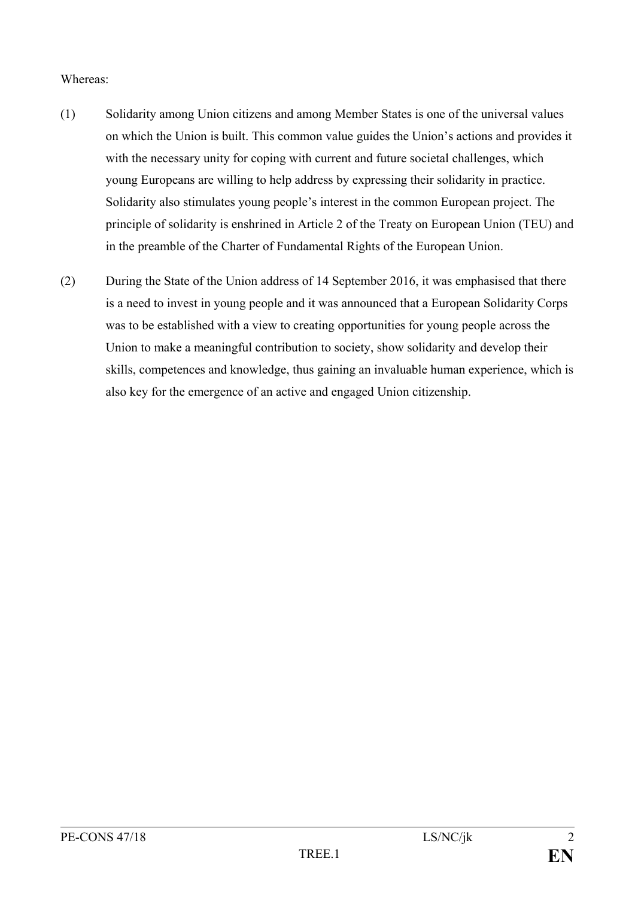#### Whereas:

- (1) Solidarity among Union citizens and among Member States is one of the universal values on which the Union is built. This common value guides the Union's actions and provides it with the necessary unity for coping with current and future societal challenges, which young Europeans are willing to help address by expressing their solidarity in practice. Solidarity also stimulates young people's interest in the common European project. The principle of solidarity is enshrined in Article 2 of the Treaty on European Union (TEU) and in the preamble of the Charter of Fundamental Rights of the European Union.
- (2) During the State of the Union address of 14 September 2016, it was emphasised that there is a need to invest in young people and it was announced that a European Solidarity Corps was to be established with a view to creating opportunities for young people across the Union to make a meaningful contribution to society, show solidarity and develop their skills, competences and knowledge, thus gaining an invaluable human experience, which is also key for the emergence of an active and engaged Union citizenship.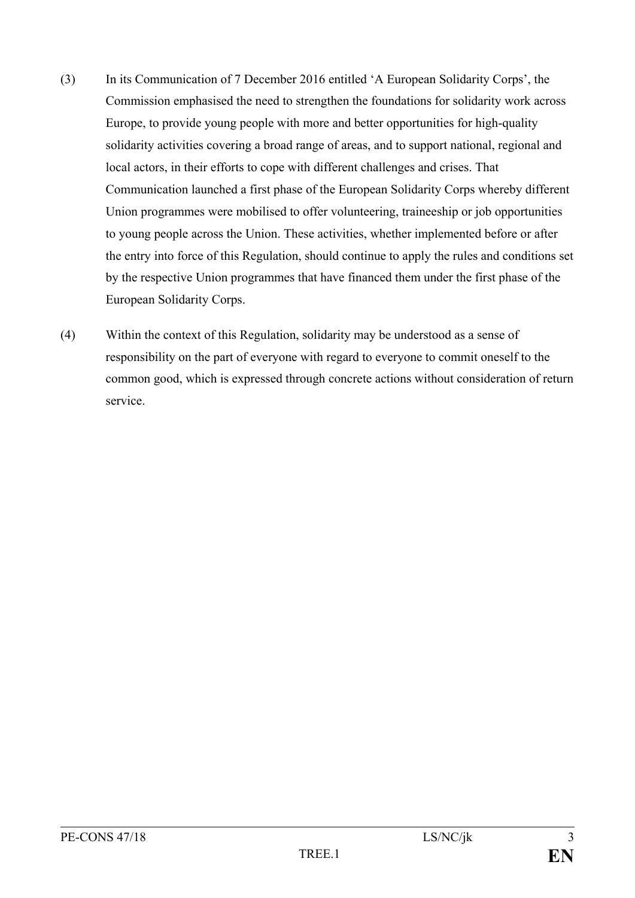- (3) In its Communication of 7 December 2016 entitled 'A European Solidarity Corps', the Commission emphasised the need to strengthen the foundations for solidarity work across Europe, to provide young people with more and better opportunities for high-quality solidarity activities covering a broad range of areas, and to support national, regional and local actors, in their efforts to cope with different challenges and crises. That Communication launched a first phase of the European Solidarity Corps whereby different Union programmes were mobilised to offer volunteering, traineeship or job opportunities to young people across the Union. These activities, whether implemented before or after the entry into force of this Regulation, should continue to apply the rules and conditions set by the respective Union programmes that have financed them under the first phase of the European Solidarity Corps.
- (4) Within the context of this Regulation, solidarity may be understood as a sense of responsibility on the part of everyone with regard to everyone to commit oneself to the common good, which is expressed through concrete actions without consideration of return service.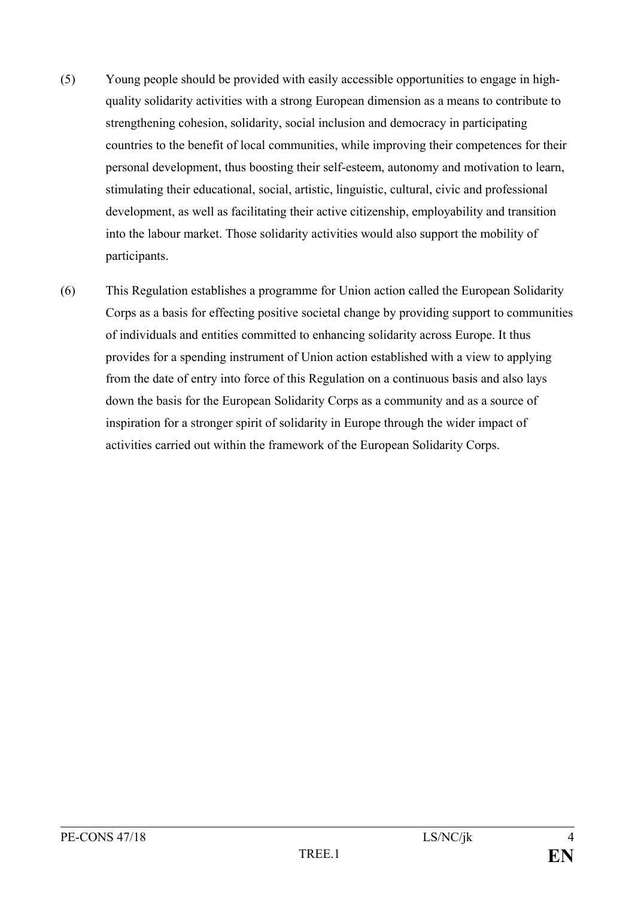- (5) Young people should be provided with easily accessible opportunities to engage in highquality solidarity activities with a strong European dimension as a means to contribute to strengthening cohesion, solidarity, social inclusion and democracy in participating countries to the benefit of local communities, while improving their competences for their personal development, thus boosting their self-esteem, autonomy and motivation to learn, stimulating their educational, social, artistic, linguistic, cultural, civic and professional development, as well as facilitating their active citizenship, employability and transition into the labour market. Those solidarity activities would also support the mobility of participants.
- (6) This Regulation establishes a programme for Union action called the European Solidarity Corps as a basis for effecting positive societal change by providing support to communities of individuals and entities committed to enhancing solidarity across Europe. It thus provides for a spending instrument of Union action established with a view to applying from the date of entry into force of this Regulation on a continuous basis and also lays down the basis for the European Solidarity Corps as a community and as a source of inspiration for a stronger spirit of solidarity in Europe through the wider impact of activities carried out within the framework of the European Solidarity Corps.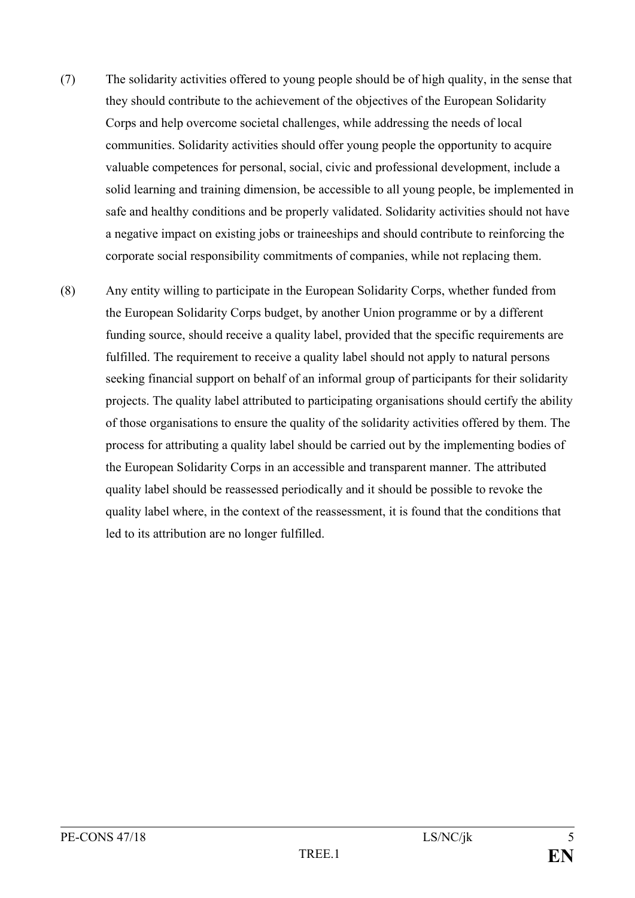- (7) The solidarity activities offered to young people should be of high quality, in the sense that they should contribute to the achievement of the objectives of the European Solidarity Corps and help overcome societal challenges, while addressing the needs of local communities. Solidarity activities should offer young people the opportunity to acquire valuable competences for personal, social, civic and professional development, include a solid learning and training dimension, be accessible to all young people, be implemented in safe and healthy conditions and be properly validated. Solidarity activities should not have a negative impact on existing jobs or traineeships and should contribute to reinforcing the corporate social responsibility commitments of companies, while not replacing them.
- (8) Any entity willing to participate in the European Solidarity Corps, whether funded from the European Solidarity Corps budget, by another Union programme or by a different funding source, should receive a quality label, provided that the specific requirements are fulfilled. The requirement to receive a quality label should not apply to natural persons seeking financial support on behalf of an informal group of participants for their solidarity projects. The quality label attributed to participating organisations should certify the ability of those organisations to ensure the quality of the solidarity activities offered by them. The process for attributing a quality label should be carried out by the implementing bodies of the European Solidarity Corps in an accessible and transparent manner. The attributed quality label should be reassessed periodically and it should be possible to revoke the quality label where, in the context of the reassessment, it is found that the conditions that led to its attribution are no longer fulfilled.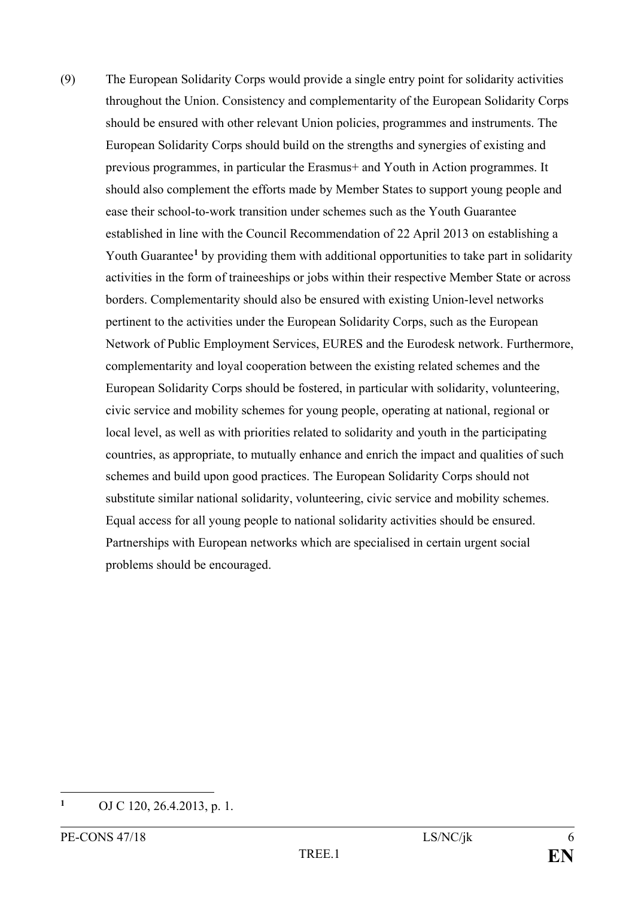(9) The European Solidarity Corps would provide a single entry point for solidarity activities throughout the Union. Consistency and complementarity of the European Solidarity Corps should be ensured with other relevant Union policies, programmes and instruments. The European Solidarity Corps should build on the strengths and synergies of existing and previous programmes, in particular the Erasmus+ and Youth in Action programmes. It should also complement the efforts made by Member States to support young people and ease their school-to-work transition under schemes such as the Youth Guarantee established in line with the Council Recommendation of 22 April 2013 on establishing a Youth Guarantee<sup>[1](#page-6-0)</sup> by providing them with additional opportunities to take part in solidarity activities in the form of traineeships or jobs within their respective Member State or across borders. Complementarity should also be ensured with existing Union-level networks pertinent to the activities under the European Solidarity Corps, such as the European Network of Public Employment Services, EURES and the Eurodesk network. Furthermore, complementarity and loyal cooperation between the existing related schemes and the European Solidarity Corps should be fostered, in particular with solidarity, volunteering, civic service and mobility schemes for young people, operating at national, regional or local level, as well as with priorities related to solidarity and youth in the participating countries, as appropriate, to mutually enhance and enrich the impact and qualities of such schemes and build upon good practices. The European Solidarity Corps should not substitute similar national solidarity, volunteering, civic service and mobility schemes. Equal access for all young people to national solidarity activities should be ensured. Partnerships with European networks which are specialised in certain urgent social problems should be encouraged.

<span id="page-6-0"></span> $\mathbf{1}$ **<sup>1</sup>** OJ C 120, 26.4.2013, p. 1.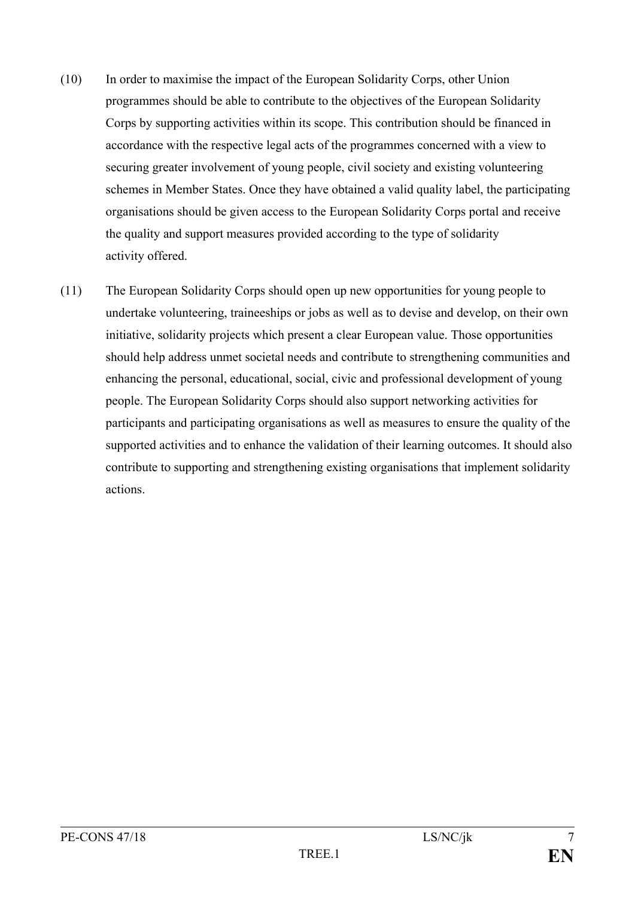- (10) In order to maximise the impact of the European Solidarity Corps, other Union programmes should be able to contribute to the objectives of the European Solidarity Corps by supporting activities within its scope. This contribution should be financed in accordance with the respective legal acts of the programmes concerned with a view to securing greater involvement of young people, civil society and existing volunteering schemes in Member States. Once they have obtained a valid quality label, the participating organisations should be given access to the European Solidarity Corps portal and receive the quality and support measures provided according to the type of solidarity activity offered.
- (11) The European Solidarity Corps should open up new opportunities for young people to undertake volunteering, traineeships or jobs as well as to devise and develop, on their own initiative, solidarity projects which present a clear European value. Those opportunities should help address unmet societal needs and contribute to strengthening communities and enhancing the personal, educational, social, civic and professional development of young people. The European Solidarity Corps should also support networking activities for participants and participating organisations as well as measures to ensure the quality of the supported activities and to enhance the validation of their learning outcomes. It should also contribute to supporting and strengthening existing organisations that implement solidarity actions.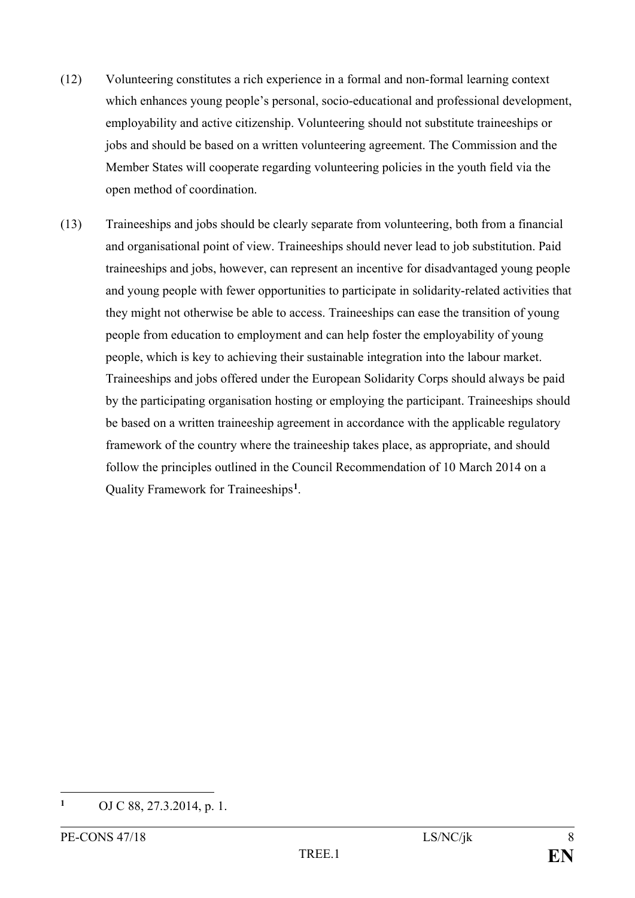- (12) Volunteering constitutes a rich experience in a formal and non-formal learning context which enhances young people's personal, socio-educational and professional development, employability and active citizenship. Volunteering should not substitute traineeships or jobs and should be based on a written volunteering agreement. The Commission and the Member States will cooperate regarding volunteering policies in the youth field via the open method of coordination.
- (13) Traineeships and jobs should be clearly separate from volunteering, both from a financial and organisational point of view. Traineeships should never lead to job substitution. Paid traineeships and jobs, however, can represent an incentive for disadvantaged young people and young people with fewer opportunities to participate in solidarity-related activities that they might not otherwise be able to access. Traineeships can ease the transition of young people from education to employment and can help foster the employability of young people, which is key to achieving their sustainable integration into the labour market. Traineeships and jobs offered under the European Solidarity Corps should always be paid by the participating organisation hosting or employing the participant. Traineeships should be based on a written traineeship agreement in accordance with the applicable regulatory framework of the country where the traineeship takes place, as appropriate, and should follow the principles outlined in the Council Recommendation of 10 March 2014 on a Quality Framework for Traineeships**[1](#page-8-0)**.

<span id="page-8-0"></span> $\mathbf{1}$ **<sup>1</sup>** OJ C 88, 27.3.2014, p. 1.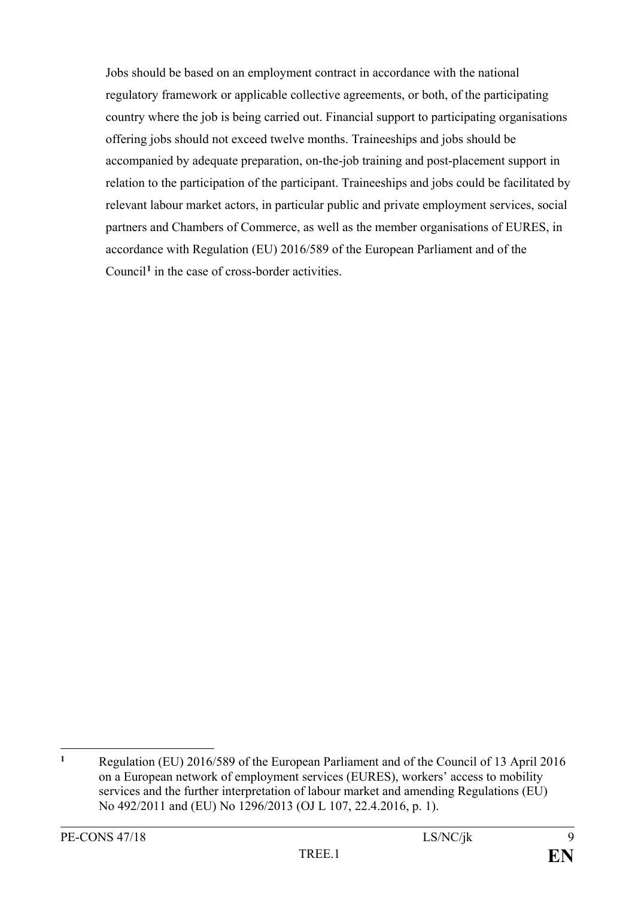Jobs should be based on an employment contract in accordance with the national regulatory framework or applicable collective agreements, or both, of the participating country where the job is being carried out. Financial support to participating organisations offering jobs should not exceed twelve months. Traineeships and jobs should be accompanied by adequate preparation, on-the-job training and post-placement support in relation to the participation of the participant. Traineeships and jobs could be facilitated by relevant labour market actors, in particular public and private employment services, social partners and Chambers of Commerce, as well as the member organisations of EURES, in accordance with Regulation (EU) 2016/589 of the European Parliament and of the Council**[1](#page-9-0)** in the case of cross-border activities.

<span id="page-9-0"></span> $\mathbf{1}$ **<sup>1</sup>** Regulation (EU) 2016/589 of the European Parliament and of the Council of 13 April 2016 on a European network of employment services (EURES), workers' access to mobility services and the further interpretation of labour market and amending Regulations (EU) No 492/2011 and (EU) No 1296/2013 (OJ L 107, 22.4.2016, p. 1).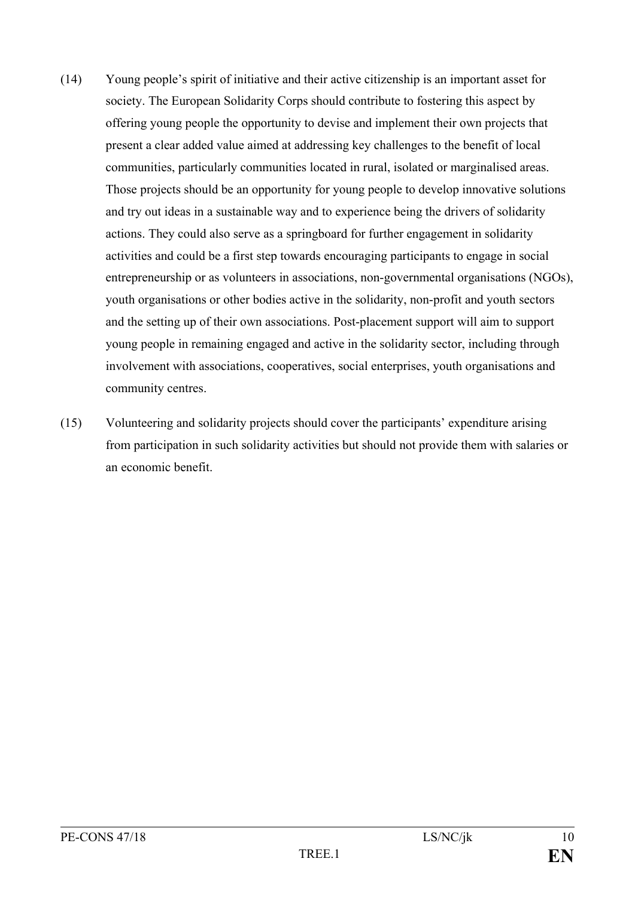- (14) Young people's spirit of initiative and their active citizenship is an important asset for society. The European Solidarity Corps should contribute to fostering this aspect by offering young people the opportunity to devise and implement their own projects that present a clear added value aimed at addressing key challenges to the benefit of local communities, particularly communities located in rural, isolated or marginalised areas. Those projects should be an opportunity for young people to develop innovative solutions and try out ideas in a sustainable way and to experience being the drivers of solidarity actions. They could also serve as a springboard for further engagement in solidarity activities and could be a first step towards encouraging participants to engage in social entrepreneurship or as volunteers in associations, non-governmental organisations (NGOs), youth organisations or other bodies active in the solidarity, non-profit and youth sectors and the setting up of their own associations. Post-placement support will aim to support young people in remaining engaged and active in the solidarity sector, including through involvement with associations, cooperatives, social enterprises, youth organisations and community centres.
- (15) Volunteering and solidarity projects should cover the participants' expenditure arising from participation in such solidarity activities but should not provide them with salaries or an economic benefit.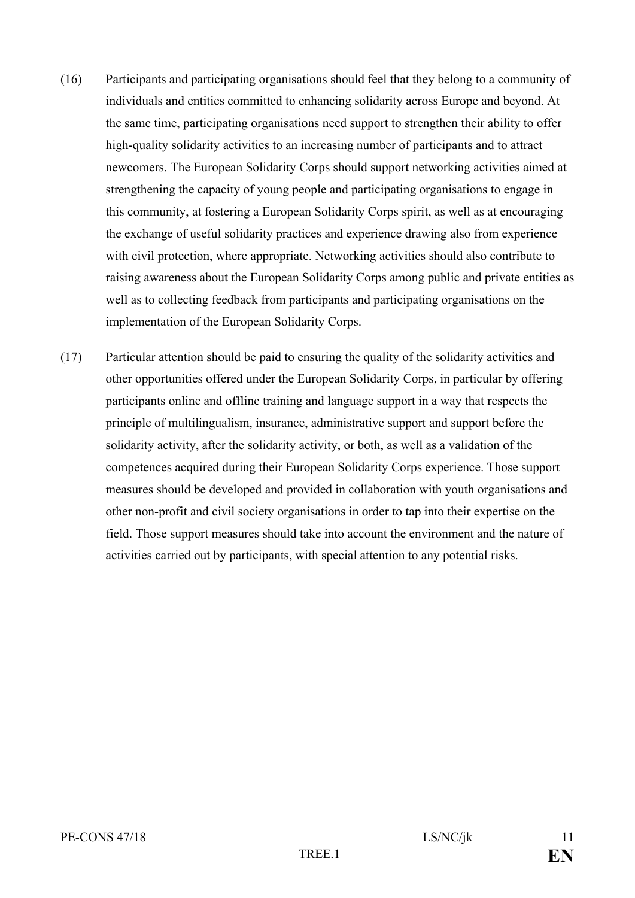- (16) Participants and participating organisations should feel that they belong to a community of individuals and entities committed to enhancing solidarity across Europe and beyond. At the same time, participating organisations need support to strengthen their ability to offer high-quality solidarity activities to an increasing number of participants and to attract newcomers. The European Solidarity Corps should support networking activities aimed at strengthening the capacity of young people and participating organisations to engage in this community, at fostering a European Solidarity Corps spirit, as well as at encouraging the exchange of useful solidarity practices and experience drawing also from experience with civil protection, where appropriate. Networking activities should also contribute to raising awareness about the European Solidarity Corps among public and private entities as well as to collecting feedback from participants and participating organisations on the implementation of the European Solidarity Corps.
- (17) Particular attention should be paid to ensuring the quality of the solidarity activities and other opportunities offered under the European Solidarity Corps, in particular by offering participants online and offline training and language support in a way that respects the principle of multilingualism, insurance, administrative support and support before the solidarity activity, after the solidarity activity, or both, as well as a validation of the competences acquired during their European Solidarity Corps experience. Those support measures should be developed and provided in collaboration with youth organisations and other non-profit and civil society organisations in order to tap into their expertise on the field. Those support measures should take into account the environment and the nature of activities carried out by participants, with special attention to any potential risks.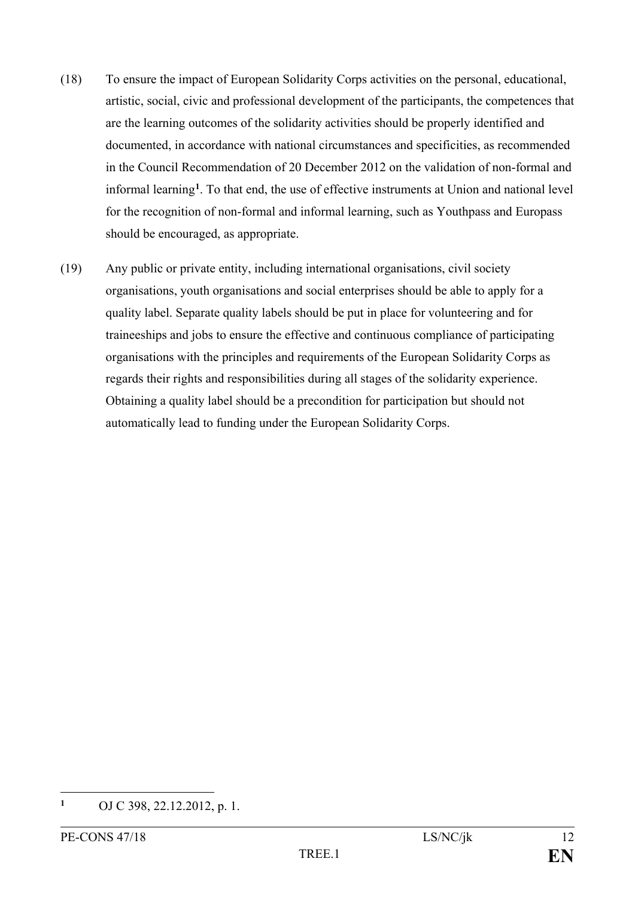- (18) To ensure the impact of European Solidarity Corps activities on the personal, educational, artistic, social, civic and professional development of the participants, the competences that are the learning outcomes of the solidarity activities should be properly identified and documented, in accordance with national circumstances and specificities, as recommended in the Council Recommendation of 20 December 2012 on the validation of non-formal and informal learning**[1](#page-12-0)** . To that end, the use of effective instruments at Union and national level for the recognition of non-formal and informal learning, such as Youthpass and Europass should be encouraged, as appropriate.
- (19) Any public or private entity, including international organisations, civil society organisations, youth organisations and social enterprises should be able to apply for a quality label. Separate quality labels should be put in place for volunteering and for traineeships and jobs to ensure the effective and continuous compliance of participating organisations with the principles and requirements of the European Solidarity Corps as regards their rights and responsibilities during all stages of the solidarity experience. Obtaining a quality label should be a precondition for participation but should not automatically lead to funding under the European Solidarity Corps.

<span id="page-12-0"></span> $\mathbf{1}$ **<sup>1</sup>** OJ C 398, 22.12.2012, p. 1.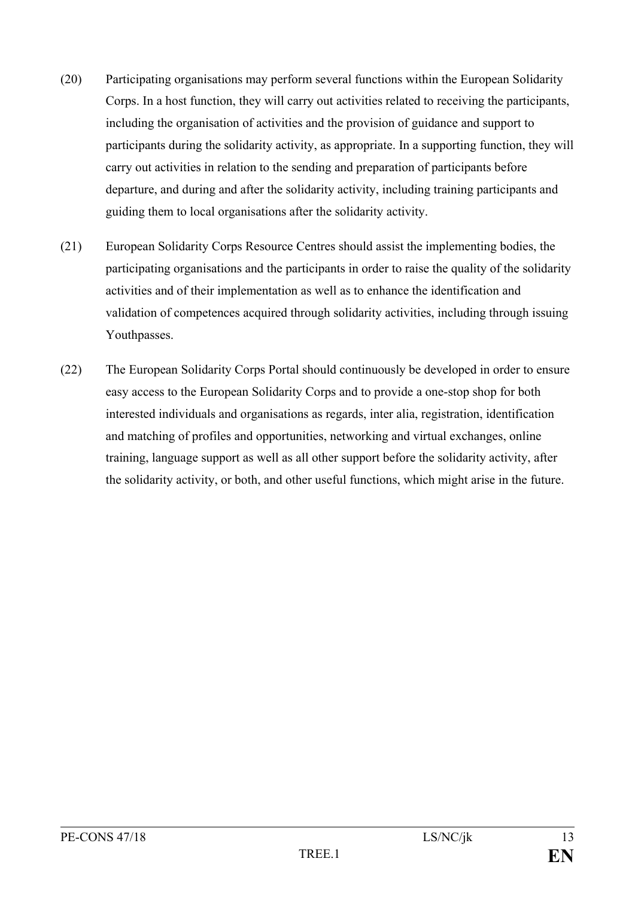- (20) Participating organisations may perform several functions within the European Solidarity Corps. In a host function, they will carry out activities related to receiving the participants, including the organisation of activities and the provision of guidance and support to participants during the solidarity activity, as appropriate. In a supporting function, they will carry out activities in relation to the sending and preparation of participants before departure, and during and after the solidarity activity, including training participants and guiding them to local organisations after the solidarity activity.
- (21) European Solidarity Corps Resource Centres should assist the implementing bodies, the participating organisations and the participants in order to raise the quality of the solidarity activities and of their implementation as well as to enhance the identification and validation of competences acquired through solidarity activities, including through issuing Youthpasses.
- (22) The European Solidarity Corps Portal should continuously be developed in order to ensure easy access to the European Solidarity Corps and to provide a one-stop shop for both interested individuals and organisations as regards, inter alia, registration, identification and matching of profiles and opportunities, networking and virtual exchanges, online training, language support as well as all other support before the solidarity activity, after the solidarity activity, or both, and other useful functions, which might arise in the future.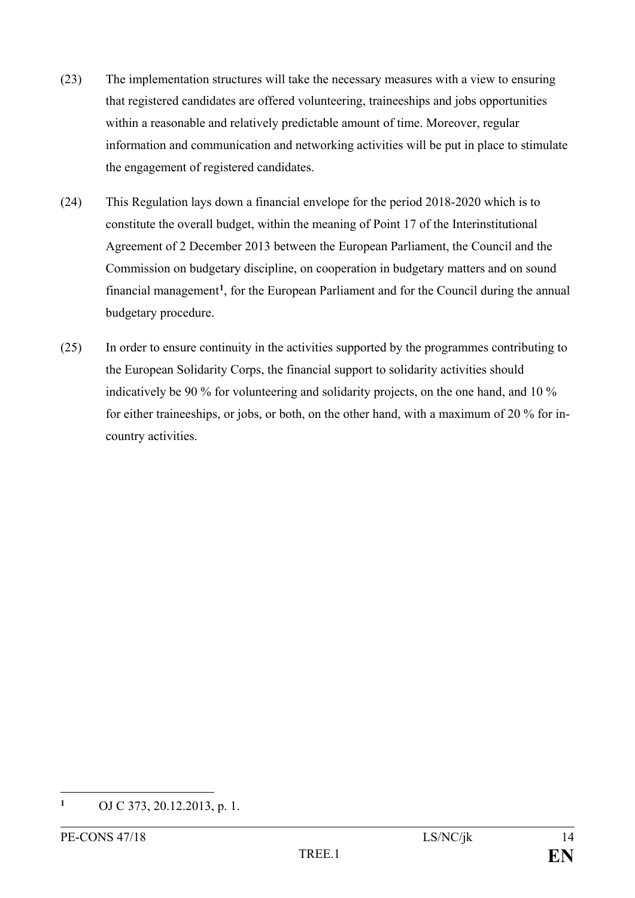- (23) The implementation structures will take the necessary measures with a view to ensuring that registered candidates are offered volunteering, traineeships and jobs opportunities within a reasonable and relatively predictable amount of time. Moreover, regular information and communication and networking activities will be put in place to stimulate the engagement of registered candidates.
- (24) This Regulation lays down a financial envelope for the period 2018-2020 which is to constitute the overall budget, within the meaning of Point 17 of the Interinstitutional Agreement of 2 December 2013 between the European Parliament, the Council and the Commission on budgetary discipline, on cooperation in budgetary matters and on sound financial management**[1](#page-14-0)** , for the European Parliament and for the Council during the annual budgetary procedure.
- (25) In order to ensure continuity in the activities supported by the programmes contributing to the European Solidarity Corps, the financial support to solidarity activities should indicatively be 90 % for volunteering and solidarity projects, on the one hand, and 10 % for either traineeships, or jobs, or both, on the other hand, with a maximum of 20 % for incountry activities.

<span id="page-14-0"></span> $\mathbf{1}$ **<sup>1</sup>** OJ C 373, 20.12.2013, p. 1.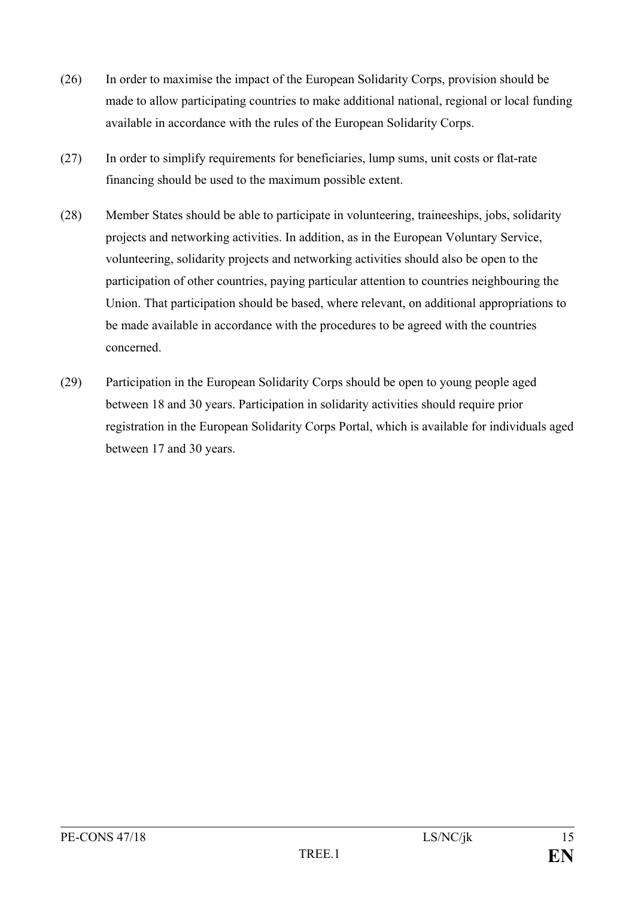- (26) In order to maximise the impact of the European Solidarity Corps, provision should be made to allow participating countries to make additional national, regional or local funding available in accordance with the rules of the European Solidarity Corps.
- (27) In order to simplify requirements for beneficiaries, lump sums, unit costs or flat-rate financing should be used to the maximum possible extent.
- (28) Member States should be able to participate in volunteering, traineeships, jobs, solidarity projects and networking activities. In addition, as in the European Voluntary Service, volunteering, solidarity projects and networking activities should also be open to the participation of other countries, paying particular attention to countries neighbouring the Union. That participation should be based, where relevant, on additional appropriations to be made available in accordance with the procedures to be agreed with the countries concerned.
- (29) Participation in the European Solidarity Corps should be open to young people aged between 18 and 30 years. Participation in solidarity activities should require prior registration in the European Solidarity Corps Portal, which is available for individuals aged between 17 and 30 years.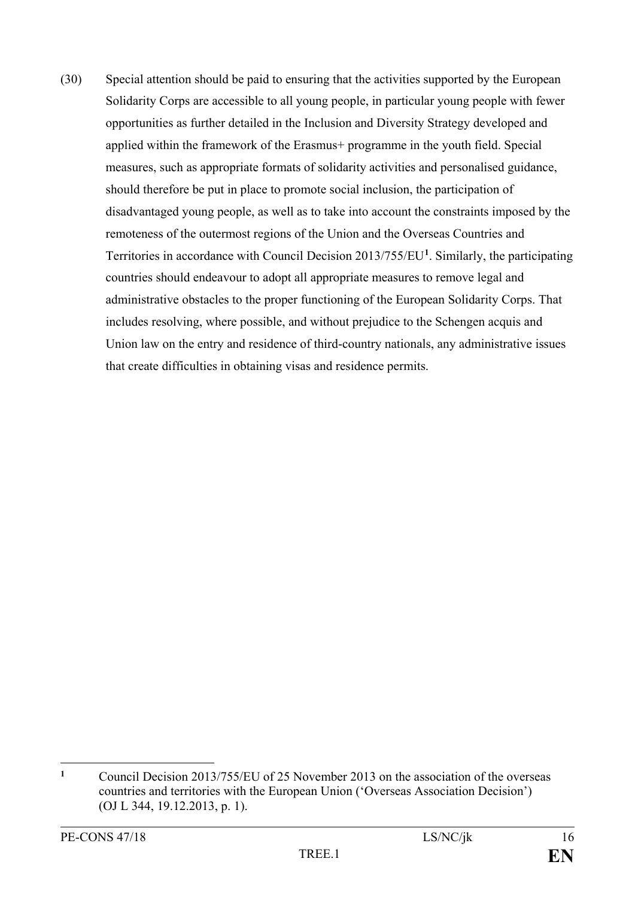(30) Special attention should be paid to ensuring that the activities supported by the European Solidarity Corps are accessible to all young people, in particular young people with fewer opportunities as further detailed in the Inclusion and Diversity Strategy developed and applied within the framework of the Erasmus+ programme in the youth field. Special measures, such as appropriate formats of solidarity activities and personalised guidance, should therefore be put in place to promote social inclusion, the participation of disadvantaged young people, as well as to take into account the constraints imposed by the remoteness of the outermost regions of the Union and the Overseas Countries and Territories in accordance with Council Decision 2013/755/EU**[1](#page-16-0)** . Similarly, the participating countries should endeavour to adopt all appropriate measures to remove legal and administrative obstacles to the proper functioning of the European Solidarity Corps. That includes resolving, where possible, and without prejudice to the Schengen acquis and Union law on the entry and residence of third-country nationals, any administrative issues that create difficulties in obtaining visas and residence permits.

<span id="page-16-0"></span> $\mathbf{1}$ **<sup>1</sup>** Council Decision 2013/755/EU of 25 November 2013 on the association of the overseas countries and territories with the European Union ('Overseas Association Decision') (OJ L 344, 19.12.2013, p. 1).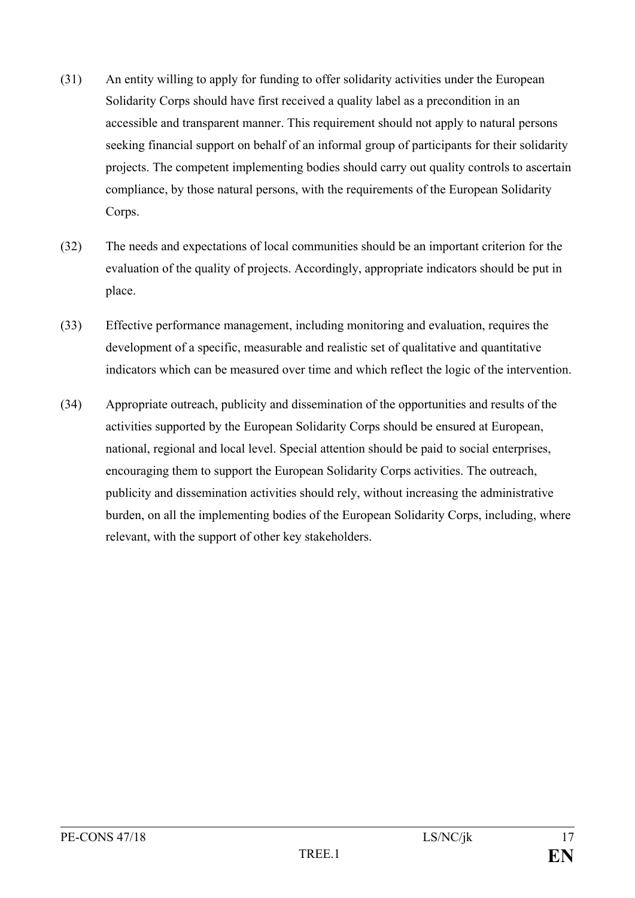- (31) An entity willing to apply for funding to offer solidarity activities under the European Solidarity Corps should have first received a quality label as a precondition in an accessible and transparent manner. This requirement should not apply to natural persons seeking financial support on behalf of an informal group of participants for their solidarity projects. The competent implementing bodies should carry out quality controls to ascertain compliance, by those natural persons, with the requirements of the European Solidarity Corps.
- (32) The needs and expectations of local communities should be an important criterion for the evaluation of the quality of projects. Accordingly, appropriate indicators should be put in place.
- (33) Effective performance management, including monitoring and evaluation, requires the development of a specific, measurable and realistic set of qualitative and quantitative indicators which can be measured over time and which reflect the logic of the intervention.
- (34) Appropriate outreach, publicity and dissemination of the opportunities and results of the activities supported by the European Solidarity Corps should be ensured at European, national, regional and local level. Special attention should be paid to social enterprises, encouraging them to support the European Solidarity Corps activities. The outreach, publicity and dissemination activities should rely, without increasing the administrative burden, on all the implementing bodies of the European Solidarity Corps, including, where relevant, with the support of other key stakeholders.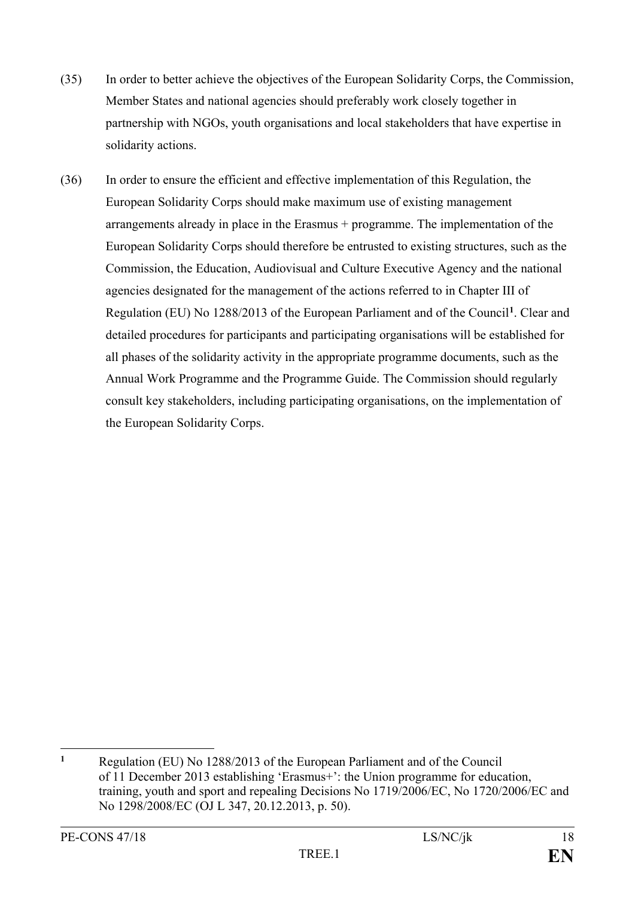- (35) In order to better achieve the objectives of the European Solidarity Corps, the Commission, Member States and national agencies should preferably work closely together in partnership with NGOs, youth organisations and local stakeholders that have expertise in solidarity actions.
- (36) In order to ensure the efficient and effective implementation of this Regulation, the European Solidarity Corps should make maximum use of existing management arrangements already in place in the Erasmus + programme. The implementation of the European Solidarity Corps should therefore be entrusted to existing structures, such as the Commission, the Education, Audiovisual and Culture Executive Agency and the national agencies designated for the management of the actions referred to in Chapter III of Regulation (EU) No 1288/2013 of the European Parliament and of the Council**[1](#page-18-0)**. Clear and detailed procedures for participants and participating organisations will be established for all phases of the solidarity activity in the appropriate programme documents, such as the Annual Work Programme and the Programme Guide. The Commission should regularly consult key stakeholders, including participating organisations, on the implementation of the European Solidarity Corps.

<span id="page-18-0"></span> $\overline{a}$ **<sup>1</sup>** Regulation (EU) No 1288/2013 of the European Parliament and of the Council of 11 December 2013 establishing 'Erasmus+': the Union programme for education, training, youth and sport and repealing Decisions No 1719/2006/EC, No 1720/2006/EC and No 1298/2008/EC (OJ L 347, 20.12.2013, p. 50).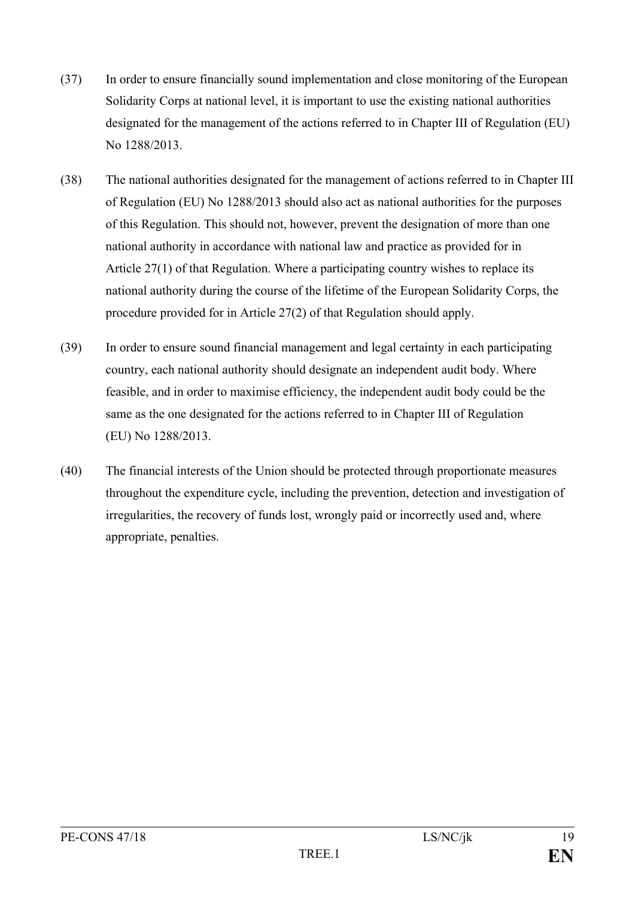- (37) In order to ensure financially sound implementation and close monitoring of the European Solidarity Corps at national level, it is important to use the existing national authorities designated for the management of the actions referred to in Chapter III of Regulation (EU) No 1288/2013.
- (38) The national authorities designated for the management of actions referred to in Chapter III of Regulation (EU) No 1288/2013 should also act as national authorities for the purposes of this Regulation. This should not, however, prevent the designation of more than one national authority in accordance with national law and practice as provided for in Article 27(1) of that Regulation. Where a participating country wishes to replace its national authority during the course of the lifetime of the European Solidarity Corps, the procedure provided for in Article 27(2) of that Regulation should apply.
- (39) In order to ensure sound financial management and legal certainty in each participating country, each national authority should designate an independent audit body. Where feasible, and in order to maximise efficiency, the independent audit body could be the same as the one designated for the actions referred to in Chapter III of Regulation (EU) No 1288/2013.
- (40) The financial interests of the Union should be protected through proportionate measures throughout the expenditure cycle, including the prevention, detection and investigation of irregularities, the recovery of funds lost, wrongly paid or incorrectly used and, where appropriate, penalties.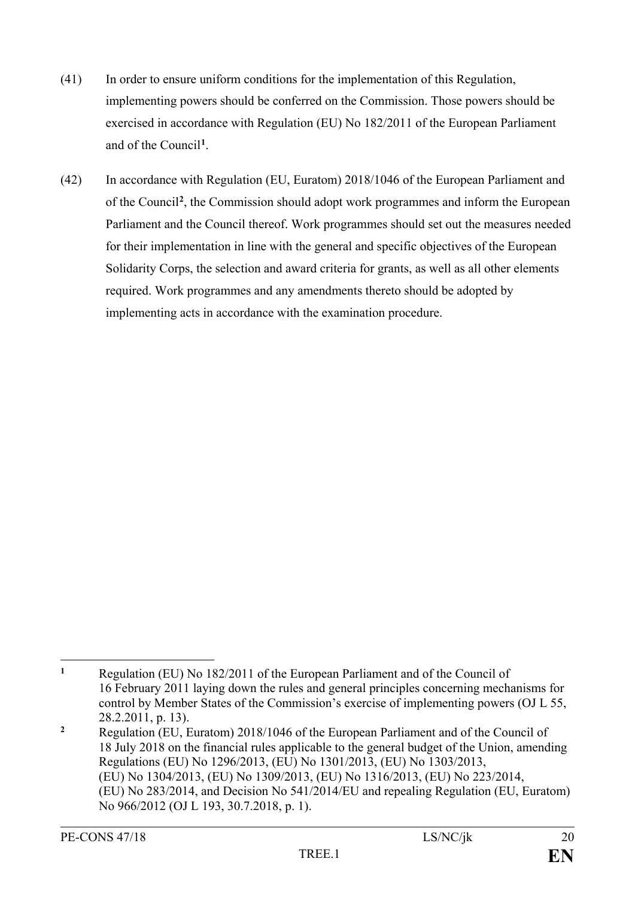- (41) In order to ensure uniform conditions for the implementation of this Regulation, implementing powers should be conferred on the Commission. Those powers should be exercised in accordance with Regulation (EU) No 182/2011 of the European Parliament and of the Council**[1](#page-20-0)** .
- (42) In accordance with Regulation (EU, Euratom) 2018/1046 of the European Parliament and of the Council**[2](#page-20-1)** , the Commission should adopt work programmes and inform the European Parliament and the Council thereof. Work programmes should set out the measures needed for their implementation in line with the general and specific objectives of the European Solidarity Corps, the selection and award criteria for grants, as well as all other elements required. Work programmes and any amendments thereto should be adopted by implementing acts in accordance with the examination procedure.

<span id="page-20-0"></span> $\mathbf{1}$ **<sup>1</sup>** Regulation (EU) No 182/2011 of the European Parliament and of the Council of 16 February 2011 laying down the rules and general principles concerning mechanisms for control by Member States of the Commission's exercise of implementing powers (OJ L 55, 28.2.2011, p. 13).

<span id="page-20-1"></span>**<sup>2</sup>** Regulation (EU, Euratom) 2018/1046 of the European Parliament and of the Council of 18 July 2018 on the financial rules applicable to the general budget of the Union, amending Regulations (EU) No 1296/2013, (EU) No 1301/2013, (EU) No 1303/2013, (EU) No 1304/2013, (EU) No 1309/2013, (EU) No 1316/2013, (EU) No 223/2014, (EU) No 283/2014, and Decision No 541/2014/EU and repealing Regulation (EU, Euratom) No 966/2012 (OJ L 193, 30.7.2018, p. 1).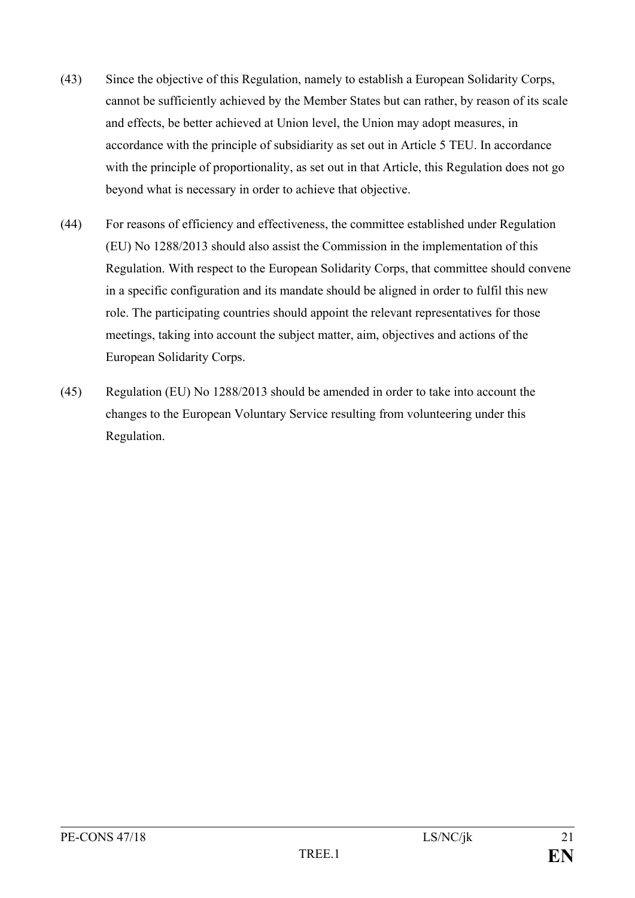- (43) Since the objective of this Regulation, namely to establish a European Solidarity Corps, cannot be sufficiently achieved by the Member States but can rather, by reason of its scale and effects, be better achieved at Union level, the Union may adopt measures, in accordance with the principle of subsidiarity as set out in Article 5 TEU. In accordance with the principle of proportionality, as set out in that Article, this Regulation does not go beyond what is necessary in order to achieve that objective.
- (44) For reasons of efficiency and effectiveness, the committee established under Regulation (EU) No 1288/2013 should also assist the Commission in the implementation of this Regulation. With respect to the European Solidarity Corps, that committee should convene in a specific configuration and its mandate should be aligned in order to fulfil this new role. The participating countries should appoint the relevant representatives for those meetings, taking into account the subject matter, aim, objectives and actions of the European Solidarity Corps.
- (45) Regulation (EU) No 1288/2013 should be amended in order to take into account the changes to the European Voluntary Service resulting from volunteering under this Regulation.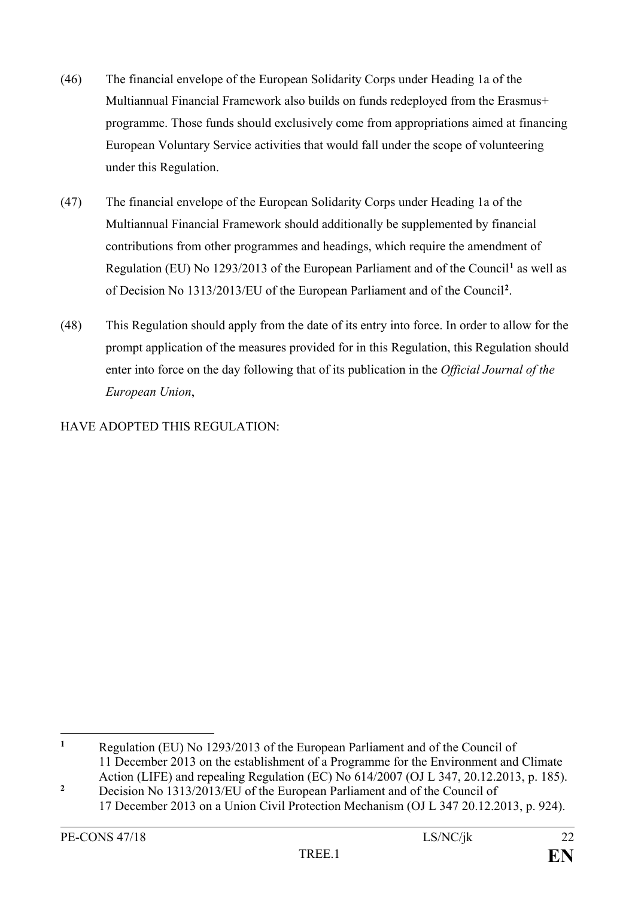- (46) The financial envelope of the European Solidarity Corps under Heading 1a of the Multiannual Financial Framework also builds on funds redeployed from the Erasmus+ programme. Those funds should exclusively come from appropriations aimed at financing European Voluntary Service activities that would fall under the scope of volunteering under this Regulation.
- (47) The financial envelope of the European Solidarity Corps under Heading 1a of the Multiannual Financial Framework should additionally be supplemented by financial contributions from other programmes and headings, which require the amendment of Regulation (EU) No 1293/2013 of the European Parliament and of the Council**[1](#page-22-0)** as well as of Decision No 1313/2013/EU of the European Parliament and of the Council**[2](#page-22-1)**.
- (48) This Regulation should apply from the date of its entry into force. In order to allow for the prompt application of the measures provided for in this Regulation, this Regulation should enter into force on the day following that of its publication in the *Official Journal of the European Union*,

HAVE ADOPTED THIS REGULATION:

<span id="page-22-0"></span> $\mathbf{1}$ **<sup>1</sup>** Regulation (EU) No 1293/2013 of the European Parliament and of the Council of 11 December 2013 on the establishment of a Programme for the Environment and Climate Action (LIFE) and repealing Regulation (EC) No 614/2007 (OJ L 347, 20.12.2013, p. 185).

<span id="page-22-1"></span><sup>&</sup>lt;sup>2</sup> Decision No 1313/2013/EU of the European Parliament and of the Council of 17 December 2013 on a Union Civil Protection Mechanism (OJ L 347 20.12.2013, p. 924).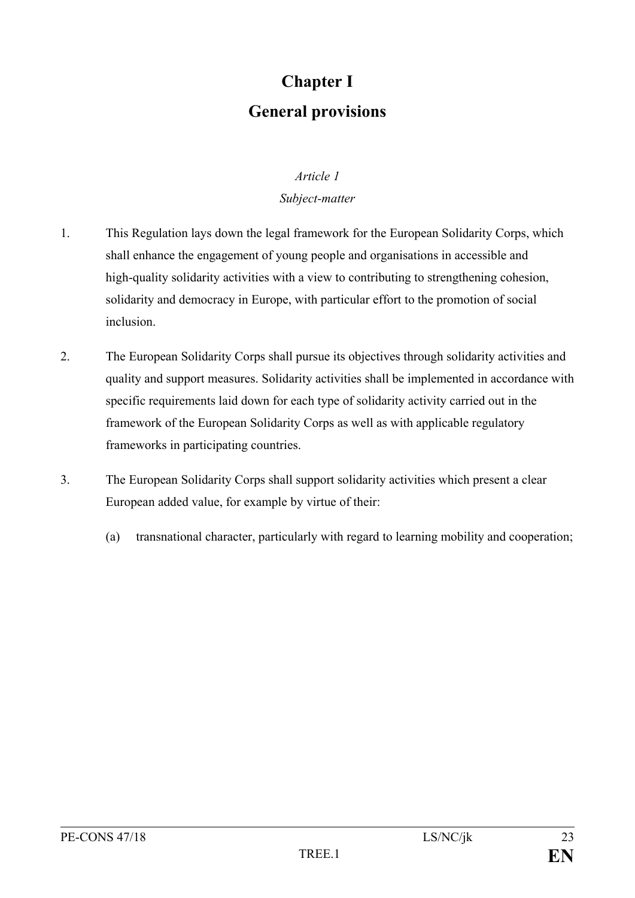## **Chapter I General provisions**

#### *Article 1*

### *Subject-matter*

- 1. This Regulation lays down the legal framework for the European Solidarity Corps, which shall enhance the engagement of young people and organisations in accessible and high-quality solidarity activities with a view to contributing to strengthening cohesion, solidarity and democracy in Europe, with particular effort to the promotion of social inclusion.
- 2. The European Solidarity Corps shall pursue its objectives through solidarity activities and quality and support measures. Solidarity activities shall be implemented in accordance with specific requirements laid down for each type of solidarity activity carried out in the framework of the European Solidarity Corps as well as with applicable regulatory frameworks in participating countries.
- 3. The European Solidarity Corps shall support solidarity activities which present a clear European added value, for example by virtue of their:
	- (a) transnational character, particularly with regard to learning mobility and cooperation;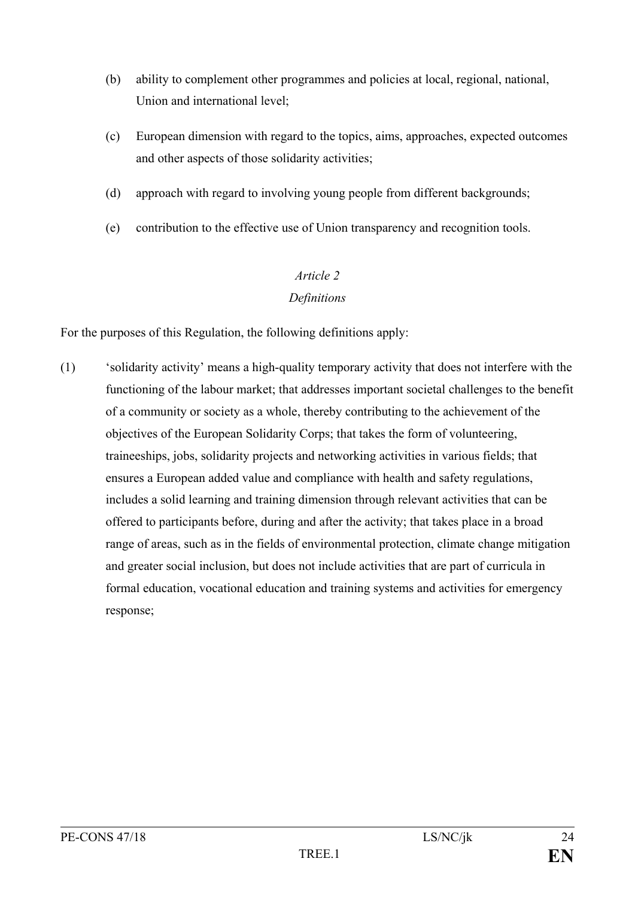- (b) ability to complement other programmes and policies at local, regional, national, Union and international level;
- (c) European dimension with regard to the topics, aims, approaches, expected outcomes and other aspects of those solidarity activities;
- (d) approach with regard to involving young people from different backgrounds;
- (e) contribution to the effective use of Union transparency and recognition tools.

### *Definitions*

For the purposes of this Regulation, the following definitions apply:

(1) 'solidarity activity' means a high-quality temporary activity that does not interfere with the functioning of the labour market; that addresses important societal challenges to the benefit of a community or society as a whole, thereby contributing to the achievement of the objectives of the European Solidarity Corps; that takes the form of volunteering, traineeships, jobs, solidarity projects and networking activities in various fields; that ensures a European added value and compliance with health and safety regulations, includes a solid learning and training dimension through relevant activities that can be offered to participants before, during and after the activity; that takes place in a broad range of areas, such as in the fields of environmental protection, climate change mitigation and greater social inclusion, but does not include activities that are part of curricula in formal education, vocational education and training systems and activities for emergency response;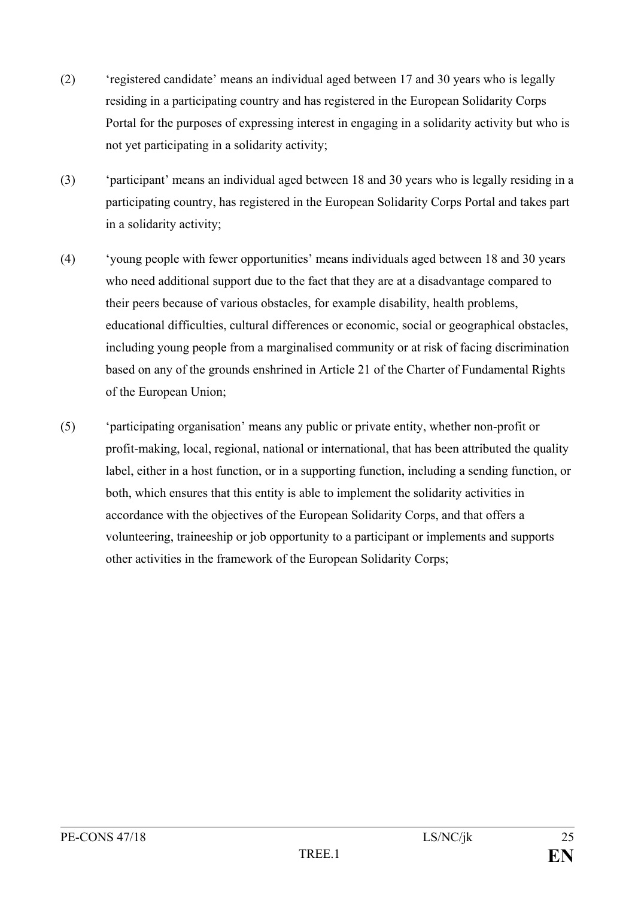- (2) 'registered candidate' means an individual aged between 17 and 30 years who is legally residing in a participating country and has registered in the European Solidarity Corps Portal for the purposes of expressing interest in engaging in a solidarity activity but who is not yet participating in a solidarity activity;
- (3) 'participant' means an individual aged between 18 and 30 years who is legally residing in a participating country, has registered in the European Solidarity Corps Portal and takes part in a solidarity activity;
- (4) 'young people with fewer opportunities' means individuals aged between 18 and 30 years who need additional support due to the fact that they are at a disadvantage compared to their peers because of various obstacles, for example disability, health problems, educational difficulties, cultural differences or economic, social or geographical obstacles, including young people from a marginalised community or at risk of facing discrimination based on any of the grounds enshrined in Article 21 of the Charter of Fundamental Rights of the European Union;
- (5) 'participating organisation' means any public or private entity, whether non-profit or profit-making, local, regional, national or international, that has been attributed the quality label, either in a host function, or in a supporting function, including a sending function, or both, which ensures that this entity is able to implement the solidarity activities in accordance with the objectives of the European Solidarity Corps, and that offers a volunteering, traineeship or job opportunity to a participant or implements and supports other activities in the framework of the European Solidarity Corps;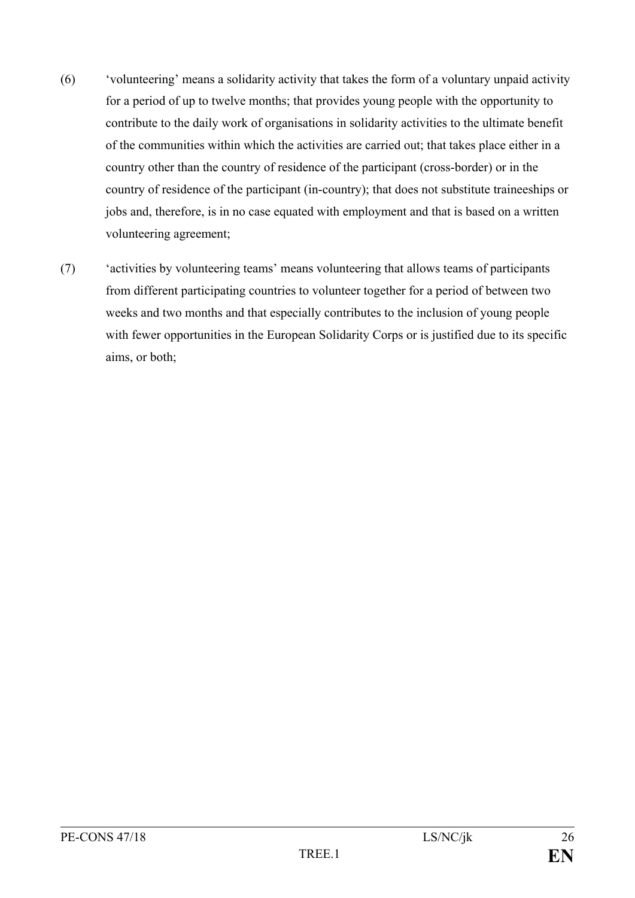- (6) 'volunteering' means a solidarity activity that takes the form of a voluntary unpaid activity for a period of up to twelve months; that provides young people with the opportunity to contribute to the daily work of organisations in solidarity activities to the ultimate benefit of the communities within which the activities are carried out; that takes place either in a country other than the country of residence of the participant (cross-border) or in the country of residence of the participant (in-country); that does not substitute traineeships or jobs and, therefore, is in no case equated with employment and that is based on a written volunteering agreement;
- (7) 'activities by volunteering teams' means volunteering that allows teams of participants from different participating countries to volunteer together for a period of between two weeks and two months and that especially contributes to the inclusion of young people with fewer opportunities in the European Solidarity Corps or is justified due to its specific aims, or both;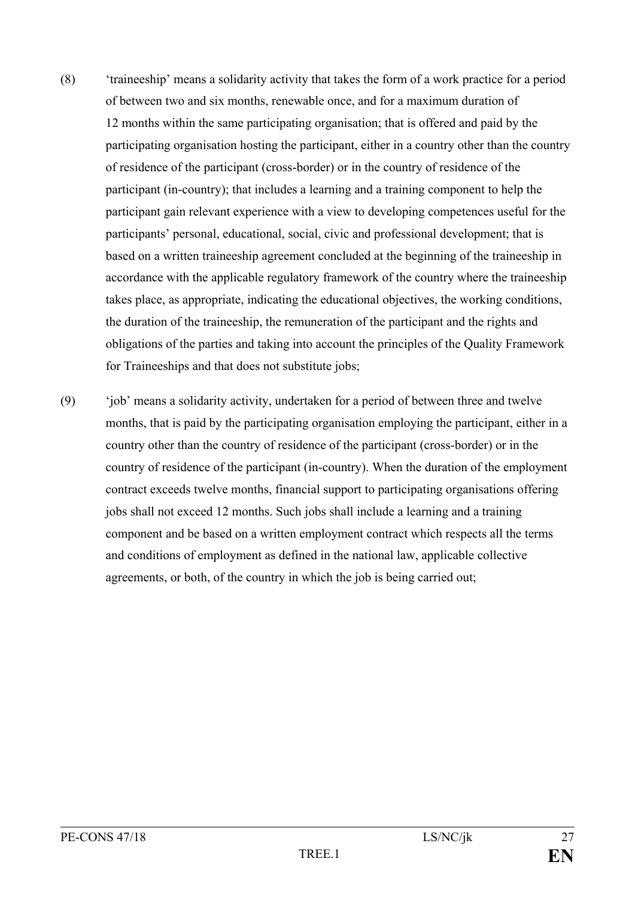- (8) 'traineeship' means a solidarity activity that takes the form of a work practice for a period of between two and six months, renewable once, and for a maximum duration of 12 months within the same participating organisation; that is offered and paid by the participating organisation hosting the participant, either in a country other than the country of residence of the participant (cross-border) or in the country of residence of the participant (in-country); that includes a learning and a training component to help the participant gain relevant experience with a view to developing competences useful for the participants' personal, educational, social, civic and professional development; that is based on a written traineeship agreement concluded at the beginning of the traineeship in accordance with the applicable regulatory framework of the country where the traineeship takes place, as appropriate, indicating the educational objectives, the working conditions, the duration of the traineeship, the remuneration of the participant and the rights and obligations of the parties and taking into account the principles of the Quality Framework for Traineeships and that does not substitute jobs;
- (9) 'job' means a solidarity activity, undertaken for a period of between three and twelve months, that is paid by the participating organisation employing the participant, either in a country other than the country of residence of the participant (cross-border) or in the country of residence of the participant (in-country). When the duration of the employment contract exceeds twelve months, financial support to participating organisations offering jobs shall not exceed 12 months. Such jobs shall include a learning and a training component and be based on a written employment contract which respects all the terms and conditions of employment as defined in the national law, applicable collective agreements, or both, of the country in which the job is being carried out;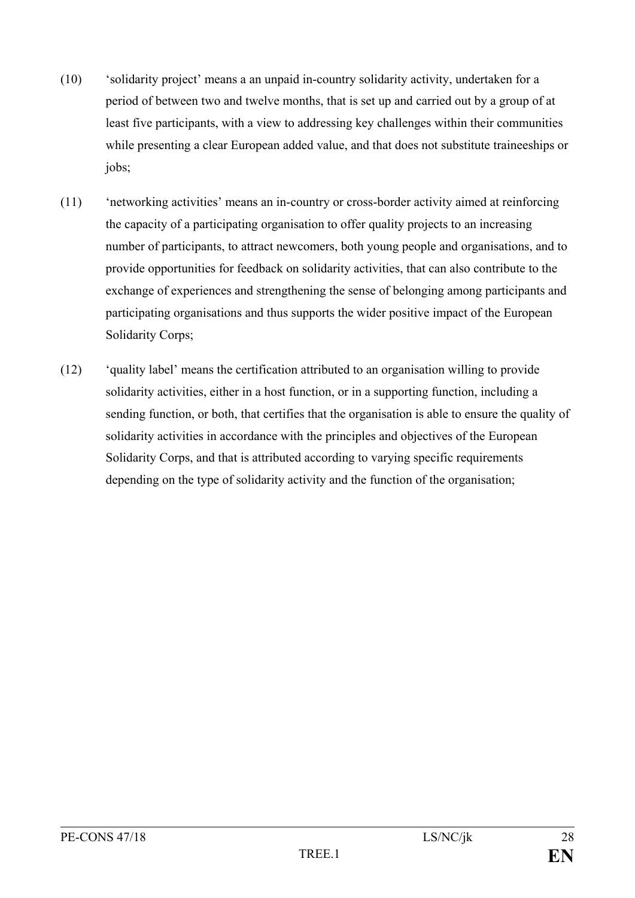- (10) 'solidarity project' means a an unpaid in-country solidarity activity, undertaken for a period of between two and twelve months, that is set up and carried out by a group of at least five participants, with a view to addressing key challenges within their communities while presenting a clear European added value, and that does not substitute traineeships or jobs;
- (11) 'networking activities' means an in-country or cross-border activity aimed at reinforcing the capacity of a participating organisation to offer quality projects to an increasing number of participants, to attract newcomers, both young people and organisations, and to provide opportunities for feedback on solidarity activities, that can also contribute to the exchange of experiences and strengthening the sense of belonging among participants and participating organisations and thus supports the wider positive impact of the European Solidarity Corps;
- (12) 'quality label' means the certification attributed to an organisation willing to provide solidarity activities, either in a host function, or in a supporting function, including a sending function, or both, that certifies that the organisation is able to ensure the quality of solidarity activities in accordance with the principles and objectives of the European Solidarity Corps, and that is attributed according to varying specific requirements depending on the type of solidarity activity and the function of the organisation;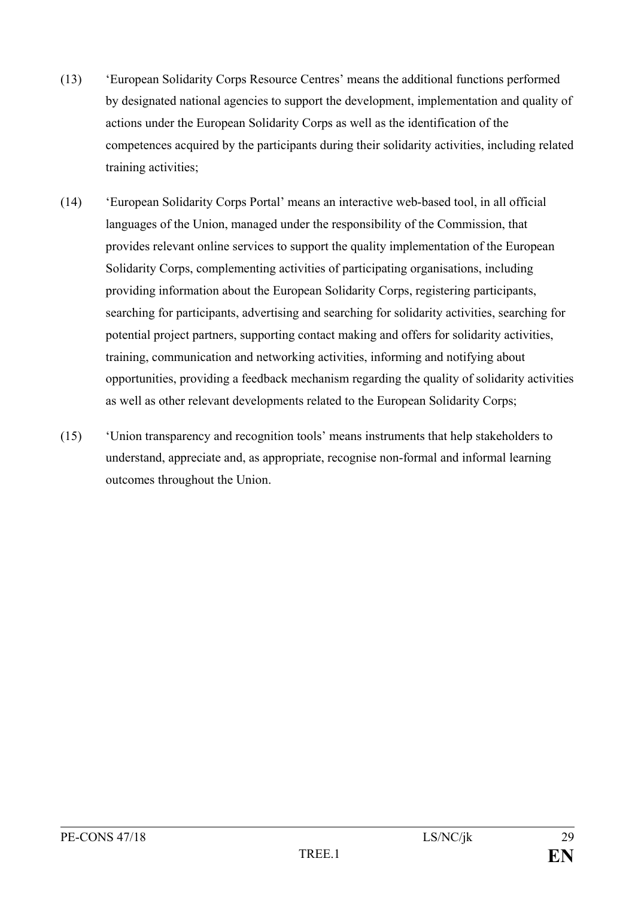- (13) 'European Solidarity Corps Resource Centres' means the additional functions performed by designated national agencies to support the development, implementation and quality of actions under the European Solidarity Corps as well as the identification of the competences acquired by the participants during their solidarity activities, including related training activities;
- (14) 'European Solidarity Corps Portal' means an interactive web-based tool, in all official languages of the Union, managed under the responsibility of the Commission, that provides relevant online services to support the quality implementation of the European Solidarity Corps, complementing activities of participating organisations, including providing information about the European Solidarity Corps, registering participants, searching for participants, advertising and searching for solidarity activities, searching for potential project partners, supporting contact making and offers for solidarity activities, training, communication and networking activities, informing and notifying about opportunities, providing a feedback mechanism regarding the quality of solidarity activities as well as other relevant developments related to the European Solidarity Corps;
- (15) 'Union transparency and recognition tools' means instruments that help stakeholders to understand, appreciate and, as appropriate, recognise non-formal and informal learning outcomes throughout the Union.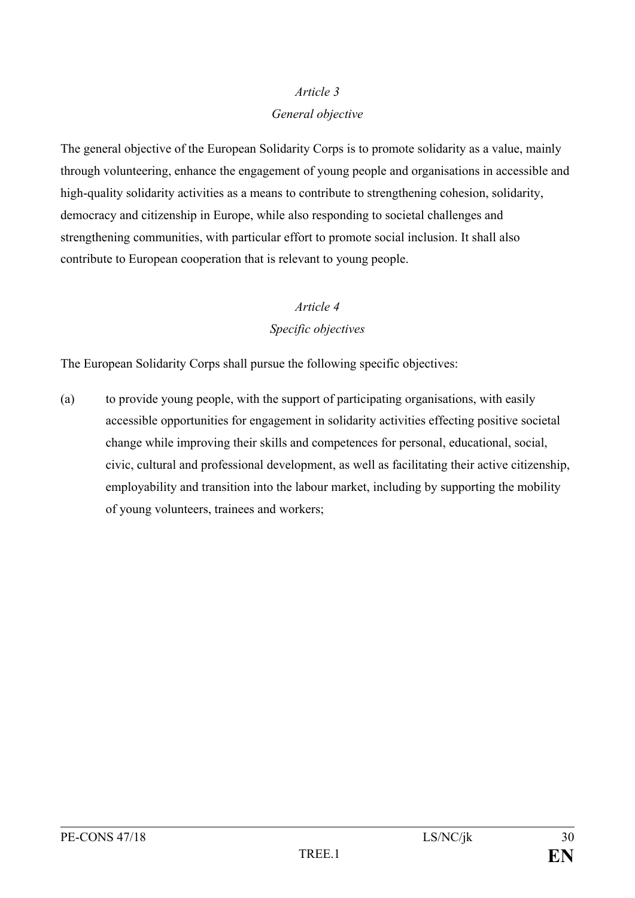#### *General objective*

The general objective of the European Solidarity Corps is to promote solidarity as a value, mainly through volunteering, enhance the engagement of young people and organisations in accessible and high-quality solidarity activities as a means to contribute to strengthening cohesion, solidarity, democracy and citizenship in Europe, while also responding to societal challenges and strengthening communities, with particular effort to promote social inclusion. It shall also contribute to European cooperation that is relevant to young people.

### *Article 4*

### *Specific objectives*

The European Solidarity Corps shall pursue the following specific objectives:

(a) to provide young people, with the support of participating organisations, with easily accessible opportunities for engagement in solidarity activities effecting positive societal change while improving their skills and competences for personal, educational, social, civic, cultural and professional development, as well as facilitating their active citizenship, employability and transition into the labour market, including by supporting the mobility of young volunteers, trainees and workers;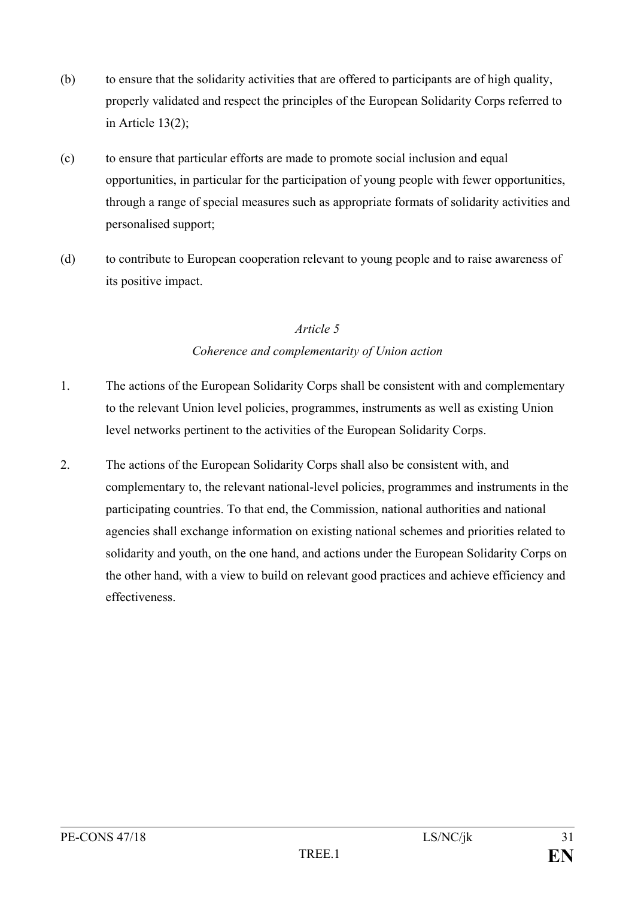- (b) to ensure that the solidarity activities that are offered to participants are of high quality, properly validated and respect the principles of the European Solidarity Corps referred to in Article 13(2);
- (c) to ensure that particular efforts are made to promote social inclusion and equal opportunities, in particular for the participation of young people with fewer opportunities, through a range of special measures such as appropriate formats of solidarity activities and personalised support;
- (d) to contribute to European cooperation relevant to young people and to raise awareness of its positive impact.

### *Coherence and complementarity of Union action*

- 1. The actions of the European Solidarity Corps shall be consistent with and complementary to the relevant Union level policies, programmes, instruments as well as existing Union level networks pertinent to the activities of the European Solidarity Corps.
- 2. The actions of the European Solidarity Corps shall also be consistent with, and complementary to, the relevant national-level policies, programmes and instruments in the participating countries. To that end, the Commission, national authorities and national agencies shall exchange information on existing national schemes and priorities related to solidarity and youth, on the one hand, and actions under the European Solidarity Corps on the other hand, with a view to build on relevant good practices and achieve efficiency and effectiveness.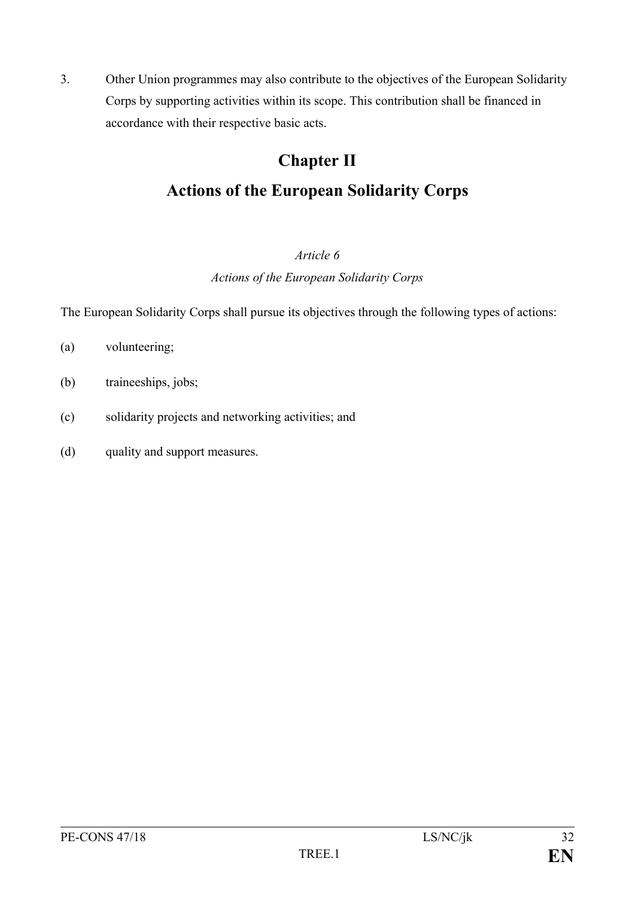3. Other Union programmes may also contribute to the objectives of the European Solidarity Corps by supporting activities within its scope. This contribution shall be financed in accordance with their respective basic acts.

## **Chapter II Actions of the European Solidarity Corps**

### *Article 6*

*Actions of the European Solidarity Corps*

The European Solidarity Corps shall pursue its objectives through the following types of actions:

- (a) volunteering;
- (b) traineeships, jobs;
- (c) solidarity projects and networking activities; and
- (d) quality and support measures.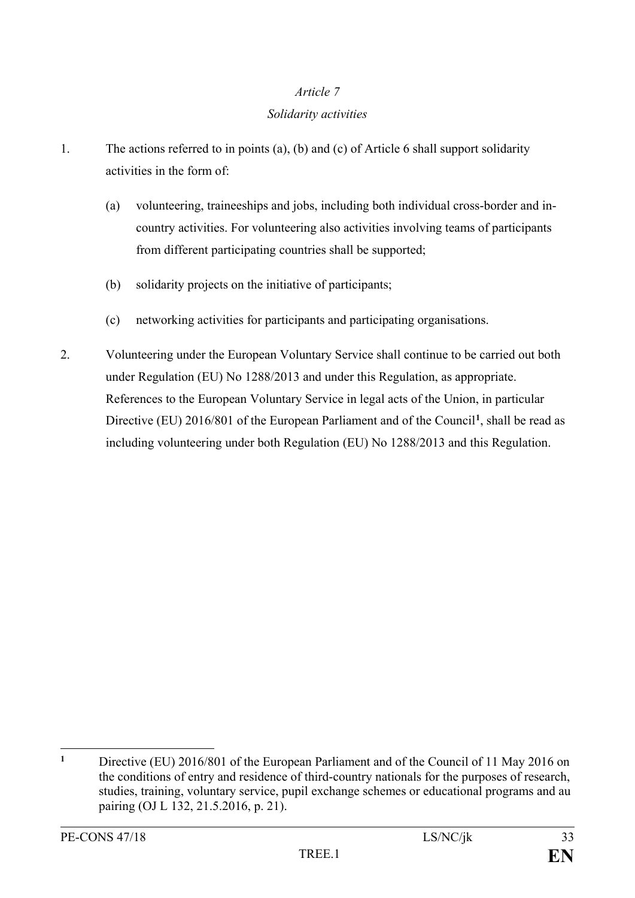### *Solidarity activities*

- 1. The actions referred to in points (a), (b) and (c) of Article 6 shall support solidarity activities in the form of:
	- (a) volunteering, traineeships and jobs, including both individual cross-border and incountry activities. For volunteering also activities involving teams of participants from different participating countries shall be supported;
	- (b) solidarity projects on the initiative of participants;
	- (c) networking activities for participants and participating organisations.
- 2. Volunteering under the European Voluntary Service shall continue to be carried out both under Regulation (EU) No 1288/2013 and under this Regulation, as appropriate. References to the European Voluntary Service in legal acts of the Union, in particular Directive (EU) 2016/801 of the European Parliament and of the Council**[1](#page-33-0)**, shall be read as including volunteering under both Regulation (EU) No 1288/2013 and this Regulation.

<span id="page-33-0"></span> $\mathbf{1}$ **<sup>1</sup>** Directive (EU) 2016/801 of the European Parliament and of the Council of 11 May 2016 on the conditions of entry and residence of third-country nationals for the purposes of research, studies, training, voluntary service, pupil exchange schemes or educational programs and au pairing (OJ L 132, 21.5.2016, p. 21).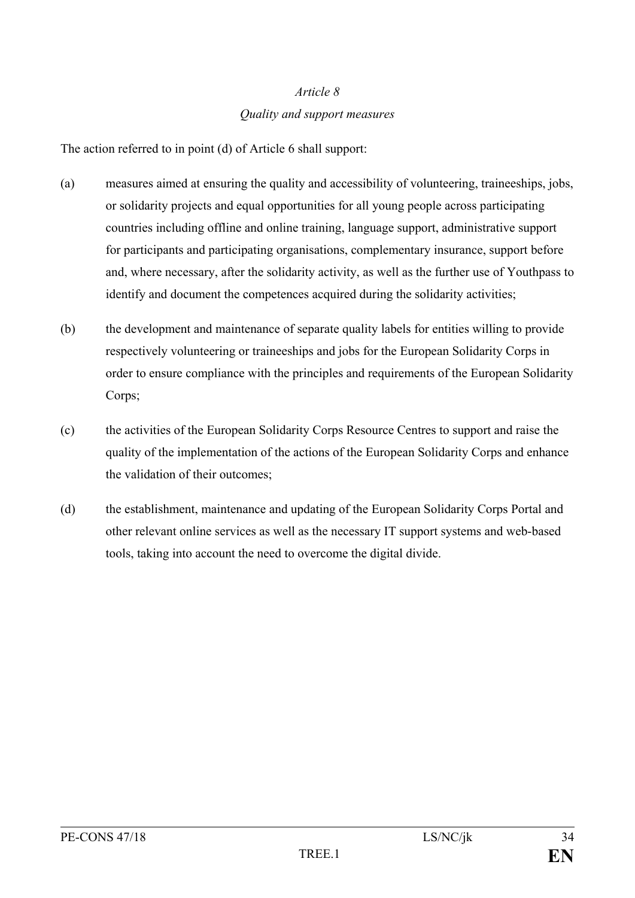### *Article 8 Quality and support measures*

The action referred to in point (d) of Article 6 shall support:

- (a) measures aimed at ensuring the quality and accessibility of volunteering, traineeships, jobs, or solidarity projects and equal opportunities for all young people across participating countries including offline and online training, language support, administrative support for participants and participating organisations, complementary insurance, support before and, where necessary, after the solidarity activity, as well as the further use of Youthpass to identify and document the competences acquired during the solidarity activities;
- (b) the development and maintenance of separate quality labels for entities willing to provide respectively volunteering or traineeships and jobs for the European Solidarity Corps in order to ensure compliance with the principles and requirements of the European Solidarity Corps:
- (c) the activities of the European Solidarity Corps Resource Centres to support and raise the quality of the implementation of the actions of the European Solidarity Corps and enhance the validation of their outcomes;
- (d) the establishment, maintenance and updating of the European Solidarity Corps Portal and other relevant online services as well as the necessary IT support systems and web-based tools, taking into account the need to overcome the digital divide.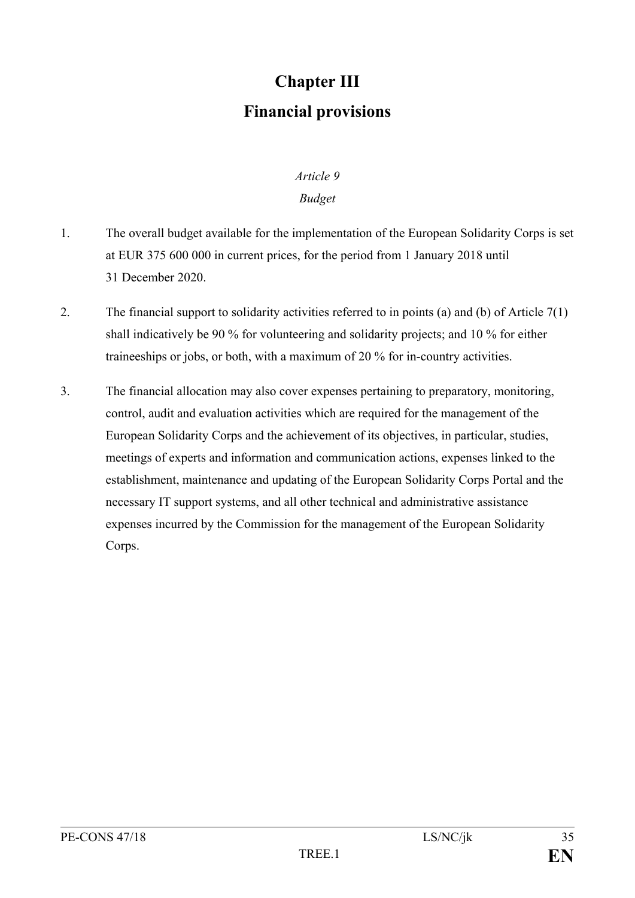## **Chapter III Financial provisions**

# *Article 9*

### *Budget*

- 1. The overall budget available for the implementation of the European Solidarity Corps is set at EUR 375 600 000 in current prices, for the period from 1 January 2018 until 31 December 2020.
- 2. The financial support to solidarity activities referred to in points (a) and (b) of Article 7(1) shall indicatively be 90 % for volunteering and solidarity projects; and 10 % for either traineeships or jobs, or both, with a maximum of 20 % for in-country activities.
- 3. The financial allocation may also cover expenses pertaining to preparatory, monitoring, control, audit and evaluation activities which are required for the management of the European Solidarity Corps and the achievement of its objectives, in particular, studies, meetings of experts and information and communication actions, expenses linked to the establishment, maintenance and updating of the European Solidarity Corps Portal and the necessary IT support systems, and all other technical and administrative assistance expenses incurred by the Commission for the management of the European Solidarity Corps.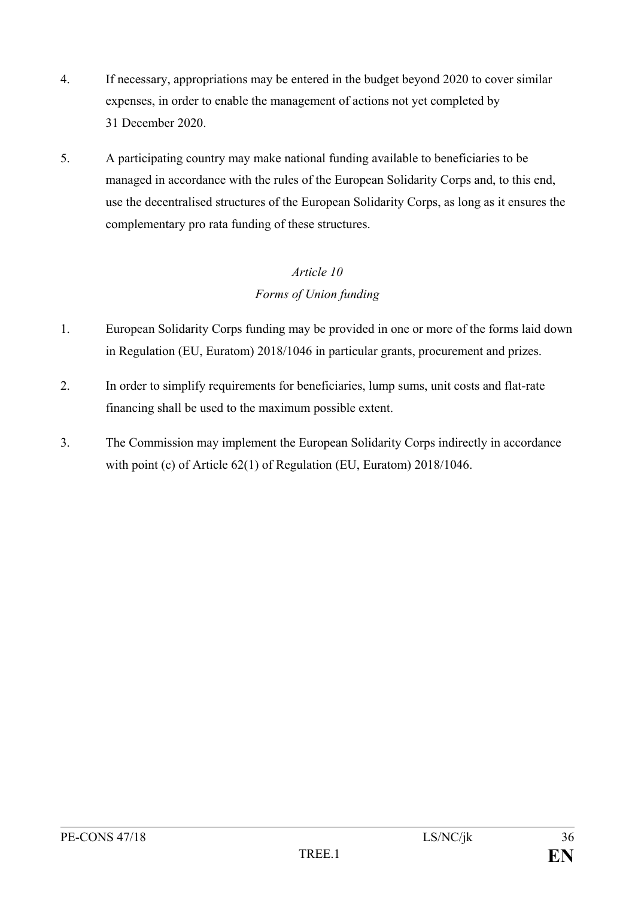- 4. If necessary, appropriations may be entered in the budget beyond 2020 to cover similar expenses, in order to enable the management of actions not yet completed by 31 December 2020.
- 5. A participating country may make national funding available to beneficiaries to be managed in accordance with the rules of the European Solidarity Corps and, to this end, use the decentralised structures of the European Solidarity Corps, as long as it ensures the complementary pro rata funding of these structures.

### *Article 10 Forms of Union funding*

- 1. European Solidarity Corps funding may be provided in one or more of the forms laid down in Regulation (EU, Euratom) 2018/1046 in particular grants, procurement and prizes.
- 2. In order to simplify requirements for beneficiaries, lump sums, unit costs and flat-rate financing shall be used to the maximum possible extent.
- 3. The Commission may implement the European Solidarity Corps indirectly in accordance with point (c) of Article 62(1) of Regulation (EU, Euratom) 2018/1046.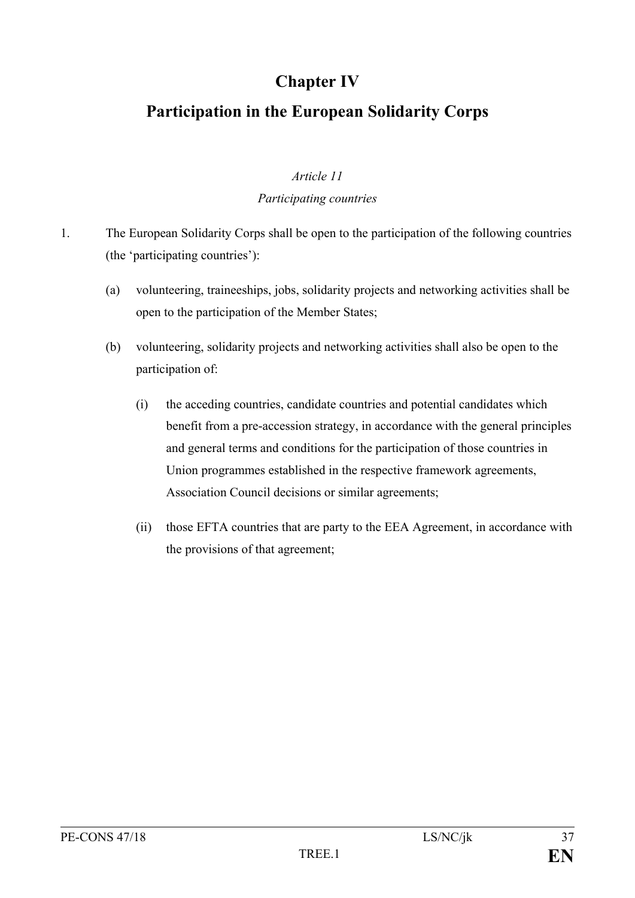### **Chapter IV**

### **Participation in the European Solidarity Corps**

### *Article 11*

### *Participating countries*

- 1. The European Solidarity Corps shall be open to the participation of the following countries (the 'participating countries'):
	- (a) volunteering, traineeships, jobs, solidarity projects and networking activities shall be open to the participation of the Member States;
	- (b) volunteering, solidarity projects and networking activities shall also be open to the participation of:
		- (i) the acceding countries, candidate countries and potential candidates which benefit from a pre-accession strategy, in accordance with the general principles and general terms and conditions for the participation of those countries in Union programmes established in the respective framework agreements, Association Council decisions or similar agreements;
		- (ii) those EFTA countries that are party to the EEA Agreement, in accordance with the provisions of that agreement;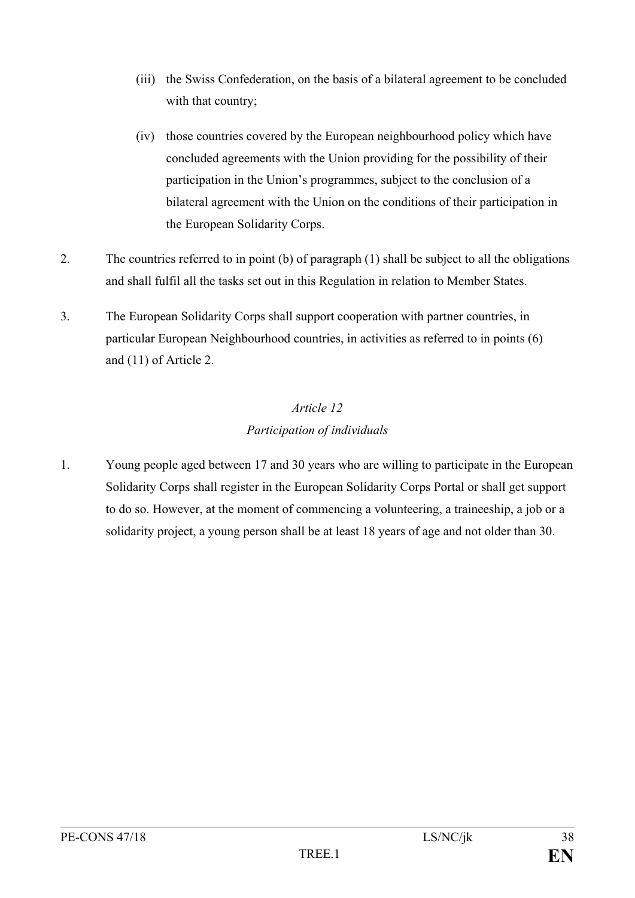- (iii) the Swiss Confederation, on the basis of a bilateral agreement to be concluded with that country;
- (iv) those countries covered by the European neighbourhood policy which have concluded agreements with the Union providing for the possibility of their participation in the Union's programmes, subject to the conclusion of a bilateral agreement with the Union on the conditions of their participation in the European Solidarity Corps.
- 2. The countries referred to in point (b) of paragraph (1) shall be subject to all the obligations and shall fulfil all the tasks set out in this Regulation in relation to Member States.
- 3. The European Solidarity Corps shall support cooperation with partner countries, in particular European Neighbourhood countries, in activities as referred to in points (6) and (11) of Article 2.

### *Article 12 Participation of individuals*

1. Young people aged between 17 and 30 years who are willing to participate in the European Solidarity Corps shall register in the European Solidarity Corps Portal or shall get support to do so. However, at the moment of commencing a volunteering, a traineeship, a job or a solidarity project, a young person shall be at least 18 years of age and not older than 30.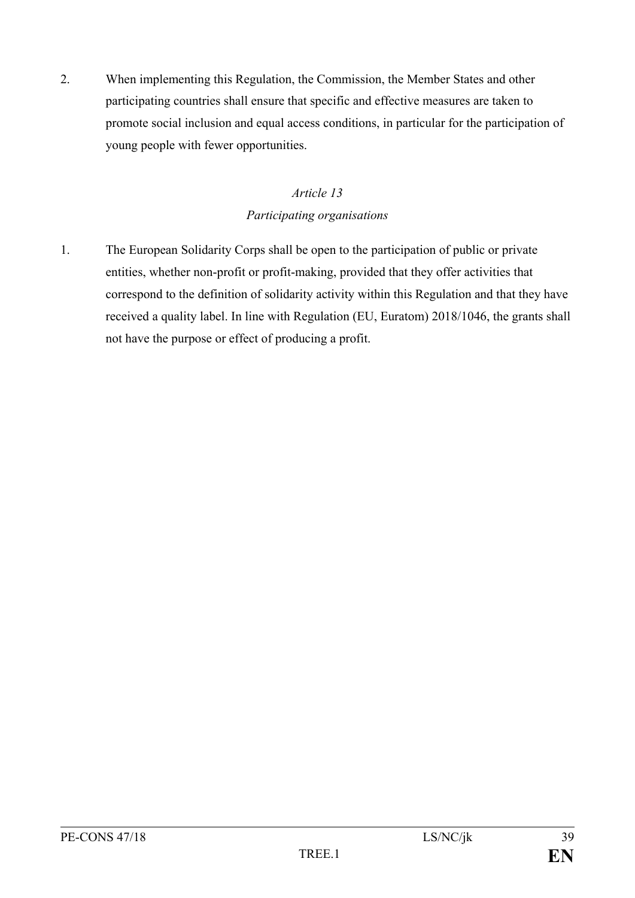2. When implementing this Regulation, the Commission, the Member States and other participating countries shall ensure that specific and effective measures are taken to promote social inclusion and equal access conditions, in particular for the participation of young people with fewer opportunities.

### *Article 13 Participating organisations*

1. The European Solidarity Corps shall be open to the participation of public or private entities, whether non-profit or profit-making, provided that they offer activities that correspond to the definition of solidarity activity within this Regulation and that they have received a quality label. In line with Regulation (EU, Euratom) 2018/1046, the grants shall not have the purpose or effect of producing a profit.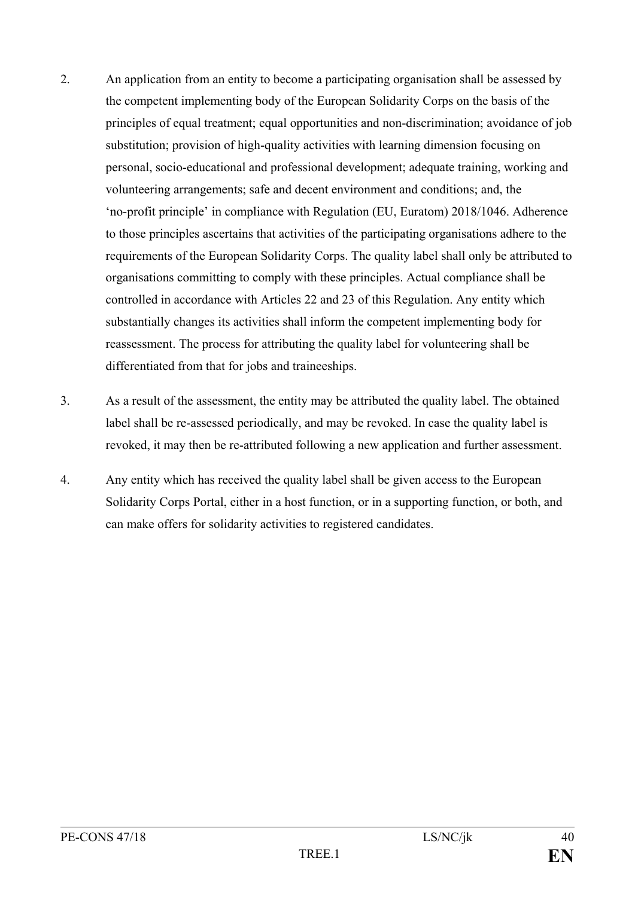- 2. An application from an entity to become a participating organisation shall be assessed by the competent implementing body of the European Solidarity Corps on the basis of the principles of equal treatment; equal opportunities and non-discrimination; avoidance of job substitution; provision of high-quality activities with learning dimension focusing on personal, socio-educational and professional development; adequate training, working and volunteering arrangements; safe and decent environment and conditions; and, the 'no-profit principle' in compliance with Regulation (EU, Euratom) 2018/1046. Adherence to those principles ascertains that activities of the participating organisations adhere to the requirements of the European Solidarity Corps. The quality label shall only be attributed to organisations committing to comply with these principles. Actual compliance shall be controlled in accordance with Articles 22 and 23 of this Regulation. Any entity which substantially changes its activities shall inform the competent implementing body for reassessment. The process for attributing the quality label for volunteering shall be differentiated from that for jobs and traineeships.
- 3. As a result of the assessment, the entity may be attributed the quality label. The obtained label shall be re-assessed periodically, and may be revoked. In case the quality label is revoked, it may then be re-attributed following a new application and further assessment.
- 4. Any entity which has received the quality label shall be given access to the European Solidarity Corps Portal, either in a host function, or in a supporting function, or both, and can make offers for solidarity activities to registered candidates.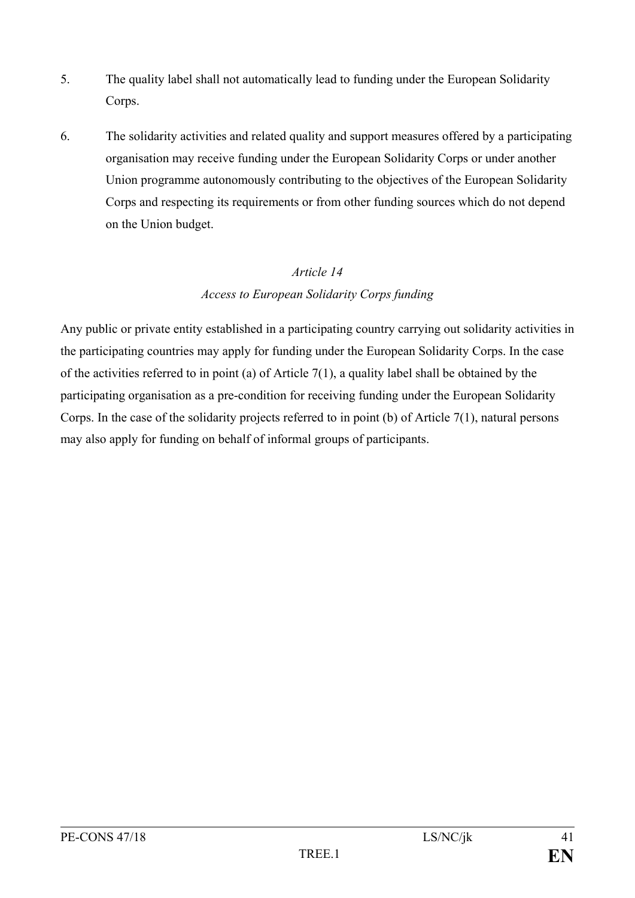- 5. The quality label shall not automatically lead to funding under the European Solidarity Corps.
- 6. The solidarity activities and related quality and support measures offered by a participating organisation may receive funding under the European Solidarity Corps or under another Union programme autonomously contributing to the objectives of the European Solidarity Corps and respecting its requirements or from other funding sources which do not depend on the Union budget.

### *Access to European Solidarity Corps funding*

Any public or private entity established in a participating country carrying out solidarity activities in the participating countries may apply for funding under the European Solidarity Corps. In the case of the activities referred to in point (a) of Article 7(1), a quality label shall be obtained by the participating organisation as a pre-condition for receiving funding under the European Solidarity Corps. In the case of the solidarity projects referred to in point (b) of Article 7(1), natural persons may also apply for funding on behalf of informal groups of participants.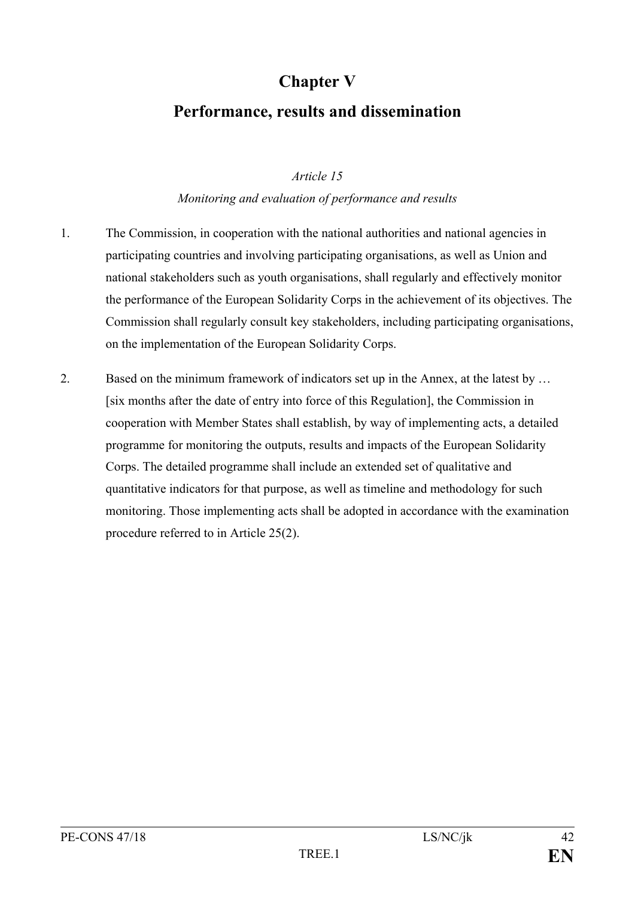### **Chapter V**

### **Performance, results and dissemination**

### *Article 15*

#### *Monitoring and evaluation of performance and results*

- 1. The Commission, in cooperation with the national authorities and national agencies in participating countries and involving participating organisations, as well as Union and national stakeholders such as youth organisations, shall regularly and effectively monitor the performance of the European Solidarity Corps in the achievement of its objectives. The Commission shall regularly consult key stakeholders, including participating organisations, on the implementation of the European Solidarity Corps.
- 2. Based on the minimum framework of indicators set up in the Annex, at the latest by … [six months after the date of entry into force of this Regulation], the Commission in cooperation with Member States shall establish, by way of implementing acts, a detailed programme for monitoring the outputs, results and impacts of the European Solidarity Corps. The detailed programme shall include an extended set of qualitative and quantitative indicators for that purpose, as well as timeline and methodology for such monitoring. Those implementing acts shall be adopted in accordance with the examination procedure referred to in Article 25(2).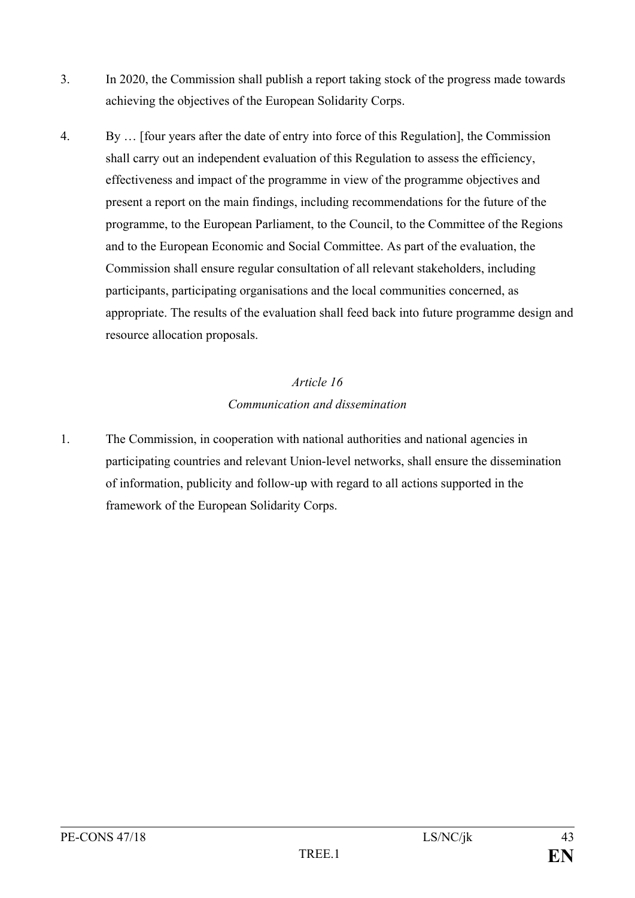- 3. In 2020, the Commission shall publish a report taking stock of the progress made towards achieving the objectives of the European Solidarity Corps.
- 4. By … [four years after the date of entry into force of this Regulation], the Commission shall carry out an independent evaluation of this Regulation to assess the efficiency, effectiveness and impact of the programme in view of the programme objectives and present a report on the main findings, including recommendations for the future of the programme, to the European Parliament, to the Council, to the Committee of the Regions and to the European Economic and Social Committee. As part of the evaluation, the Commission shall ensure regular consultation of all relevant stakeholders, including participants, participating organisations and the local communities concerned, as appropriate. The results of the evaluation shall feed back into future programme design and resource allocation proposals.

### *Article 16 Communication and dissemination*

1. The Commission, in cooperation with national authorities and national agencies in participating countries and relevant Union-level networks, shall ensure the dissemination of information, publicity and follow-up with regard to all actions supported in the framework of the European Solidarity Corps.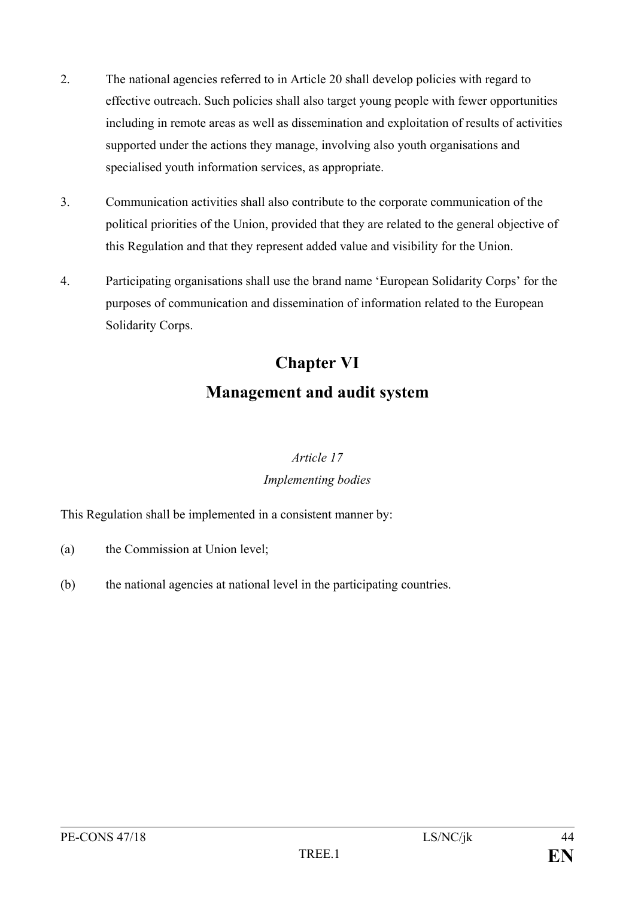- 2. The national agencies referred to in Article 20 shall develop policies with regard to effective outreach. Such policies shall also target young people with fewer opportunities including in remote areas as well as dissemination and exploitation of results of activities supported under the actions they manage, involving also youth organisations and specialised youth information services, as appropriate.
- 3. Communication activities shall also contribute to the corporate communication of the political priorities of the Union, provided that they are related to the general objective of this Regulation and that they represent added value and visibility for the Union.
- 4. Participating organisations shall use the brand name 'European Solidarity Corps' for the purposes of communication and dissemination of information related to the European Solidarity Corps.

## **Chapter VI Management and audit system**

### *Article 17 Implementing bodies*

This Regulation shall be implemented in a consistent manner by:

- (a) the Commission at Union level;
- (b) the national agencies at national level in the participating countries.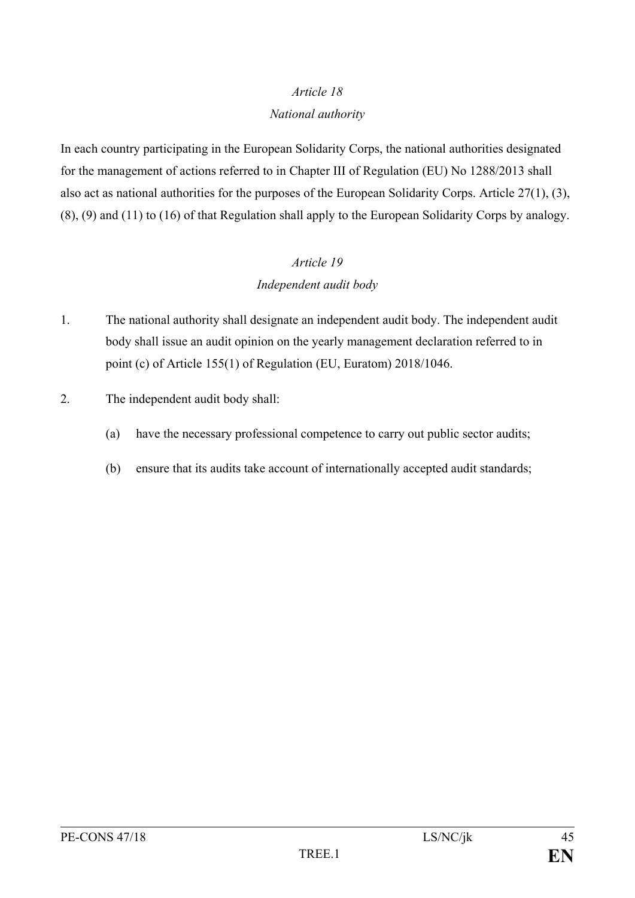### *National authority*

In each country participating in the European Solidarity Corps, the national authorities designated for the management of actions referred to in Chapter III of Regulation (EU) No 1288/2013 shall also act as national authorities for the purposes of the European Solidarity Corps. Article 27(1), (3), (8), (9) and (11) to (16) of that Regulation shall apply to the European Solidarity Corps by analogy.

### *Article 19 Independent audit body*

- 1. The national authority shall designate an independent audit body. The independent audit body shall issue an audit opinion on the yearly management declaration referred to in point (c) of Article 155(1) of Regulation (EU, Euratom) 2018/1046.
- 2. The independent audit body shall:
	- (a) have the necessary professional competence to carry out public sector audits;
	- (b) ensure that its audits take account of internationally accepted audit standards;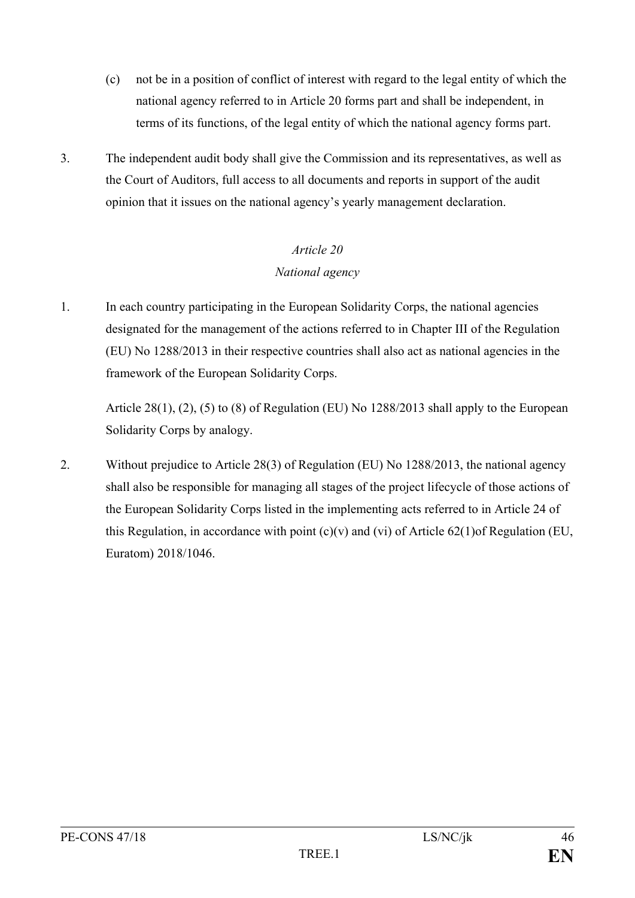- (c) not be in a position of conflict of interest with regard to the legal entity of which the national agency referred to in Article 20 forms part and shall be independent, in terms of its functions, of the legal entity of which the national agency forms part.
- 3. The independent audit body shall give the Commission and its representatives, as well as the Court of Auditors, full access to all documents and reports in support of the audit opinion that it issues on the national agency's yearly management declaration.

### *Article 20 National agency*

1. In each country participating in the European Solidarity Corps, the national agencies designated for the management of the actions referred to in Chapter III of the Regulation (EU) No 1288/2013 in their respective countries shall also act as national agencies in the framework of the European Solidarity Corps.

Article  $28(1)$ ,  $(2)$ ,  $(5)$  to  $(8)$  of Regulation (EU) No 1288/2013 shall apply to the European Solidarity Corps by analogy.

2. Without prejudice to Article 28(3) of Regulation (EU) No 1288/2013, the national agency shall also be responsible for managing all stages of the project lifecycle of those actions of the European Solidarity Corps listed in the implementing acts referred to in Article 24 of this Regulation, in accordance with point  $(c)(v)$  and  $(vi)$  of Article 62(1)of Regulation (EU, Euratom) 2018/1046.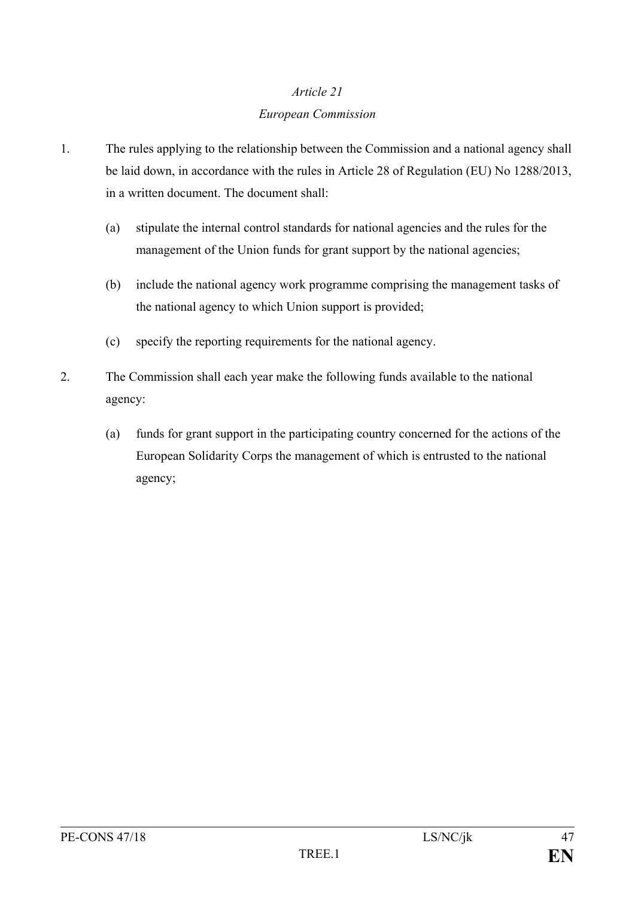## *Article 21 European Commission*

- 1. The rules applying to the relationship between the Commission and a national agency shall be laid down, in accordance with the rules in Article 28 of Regulation (EU) No 1288/2013, in a written document. The document shall:
	- (a) stipulate the internal control standards for national agencies and the rules for the management of the Union funds for grant support by the national agencies;
	- (b) include the national agency work programme comprising the management tasks of the national agency to which Union support is provided;
	- (c) specify the reporting requirements for the national agency.
- 2. The Commission shall each year make the following funds available to the national agency:
	- (a) funds for grant support in the participating country concerned for the actions of the European Solidarity Corps the management of which is entrusted to the national agency;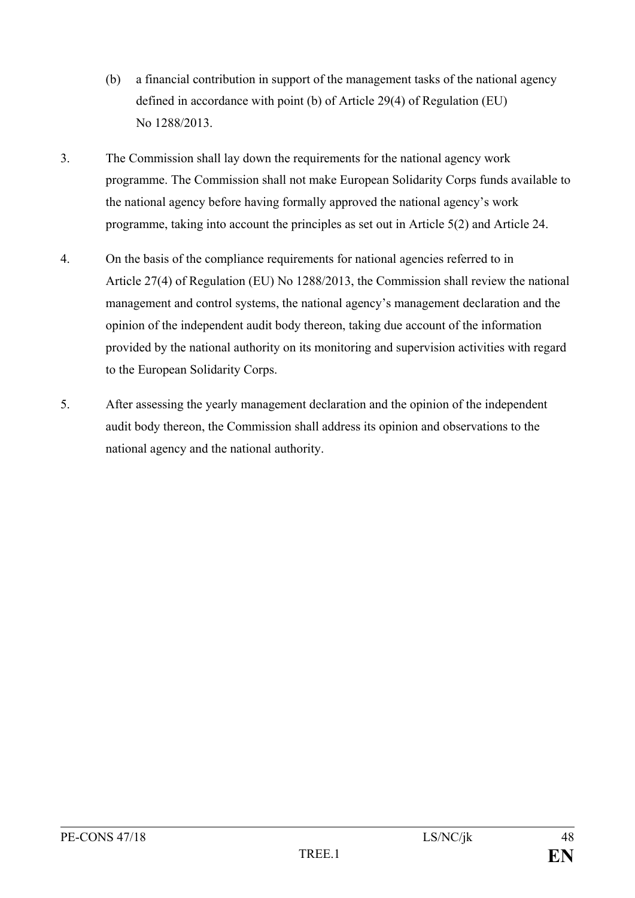- (b) a financial contribution in support of the management tasks of the national agency defined in accordance with point (b) of Article 29(4) of Regulation (EU) No 1288/2013.
- 3. The Commission shall lay down the requirements for the national agency work programme. The Commission shall not make European Solidarity Corps funds available to the national agency before having formally approved the national agency's work programme, taking into account the principles as set out in Article 5(2) and Article 24.
- 4. On the basis of the compliance requirements for national agencies referred to in Article 27(4) of Regulation (EU) No 1288/2013, the Commission shall review the national management and control systems, the national agency's management declaration and the opinion of the independent audit body thereon, taking due account of the information provided by the national authority on its monitoring and supervision activities with regard to the European Solidarity Corps.
- 5. After assessing the yearly management declaration and the opinion of the independent audit body thereon, the Commission shall address its opinion and observations to the national agency and the national authority.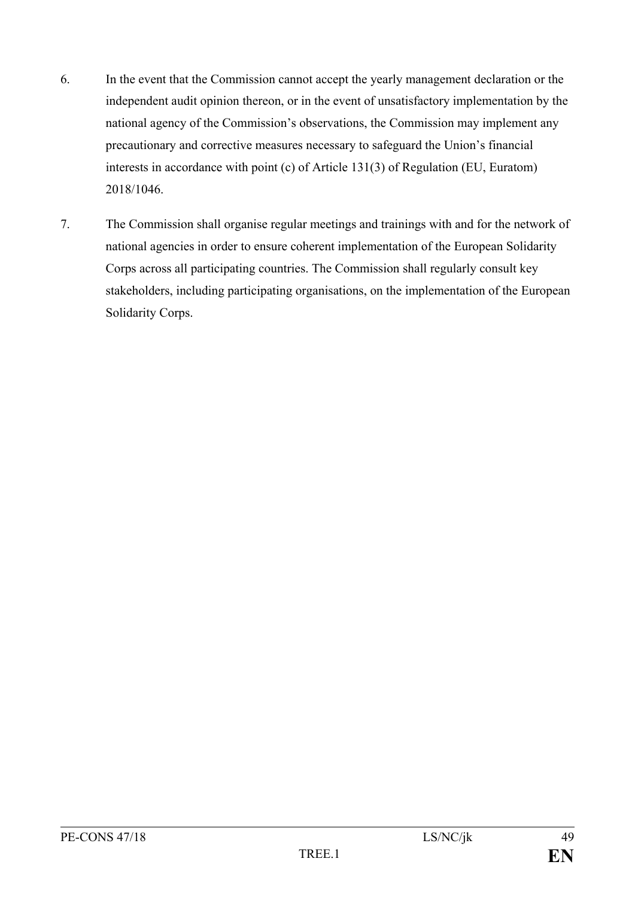- 6. In the event that the Commission cannot accept the yearly management declaration or the independent audit opinion thereon, or in the event of unsatisfactory implementation by the national agency of the Commission's observations, the Commission may implement any precautionary and corrective measures necessary to safeguard the Union's financial interests in accordance with point (c) of Article 131(3) of Regulation (EU, Euratom) 2018/1046.
- 7. The Commission shall organise regular meetings and trainings with and for the network of national agencies in order to ensure coherent implementation of the European Solidarity Corps across all participating countries. The Commission shall regularly consult key stakeholders, including participating organisations, on the implementation of the European Solidarity Corps.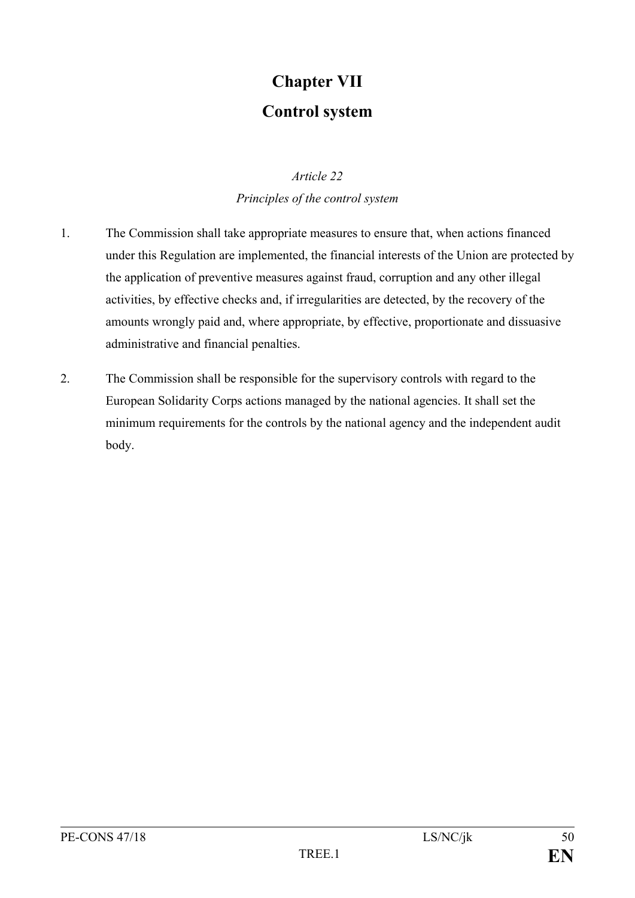## **Chapter VII Control system**

### *Article 22*

### *Principles of the control system*

- 1. The Commission shall take appropriate measures to ensure that, when actions financed under this Regulation are implemented, the financial interests of the Union are protected by the application of preventive measures against fraud, corruption and any other illegal activities, by effective checks and, if irregularities are detected, by the recovery of the amounts wrongly paid and, where appropriate, by effective, proportionate and dissuasive administrative and financial penalties.
- 2. The Commission shall be responsible for the supervisory controls with regard to the European Solidarity Corps actions managed by the national agencies. It shall set the minimum requirements for the controls by the national agency and the independent audit body.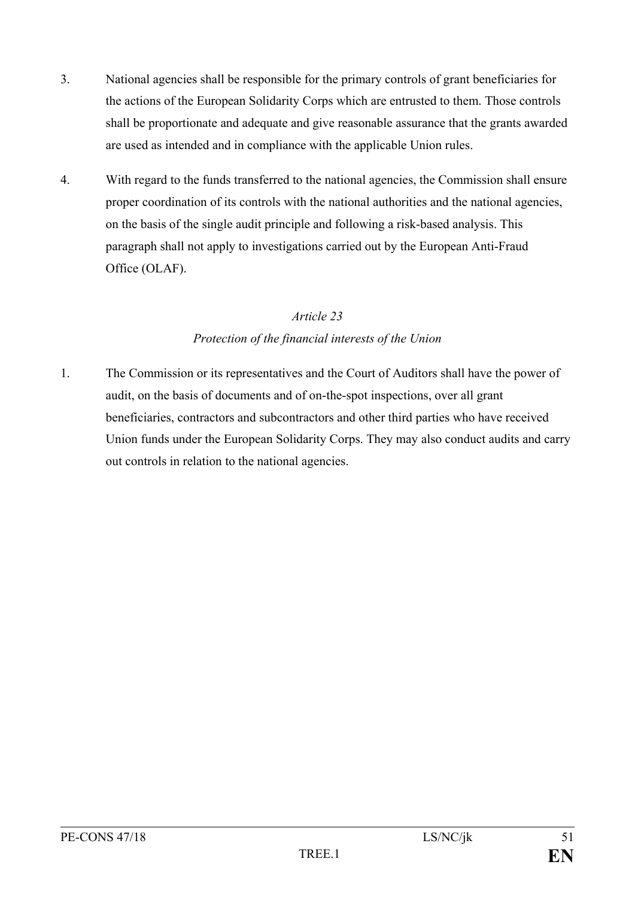- 3. National agencies shall be responsible for the primary controls of grant beneficiaries for the actions of the European Solidarity Corps which are entrusted to them. Those controls shall be proportionate and adequate and give reasonable assurance that the grants awarded are used as intended and in compliance with the applicable Union rules.
- 4. With regard to the funds transferred to the national agencies, the Commission shall ensure proper coordination of its controls with the national authorities and the national agencies, on the basis of the single audit principle and following a risk-based analysis. This paragraph shall not apply to investigations carried out by the European Anti-Fraud Office (OLAF).

### *Article 23 Protection of the financial interests of the Union*

1. The Commission or its representatives and the Court of Auditors shall have the power of audit, on the basis of documents and of on-the-spot inspections, over all grant beneficiaries, contractors and subcontractors and other third parties who have received Union funds under the European Solidarity Corps. They may also conduct audits and carry out controls in relation to the national agencies.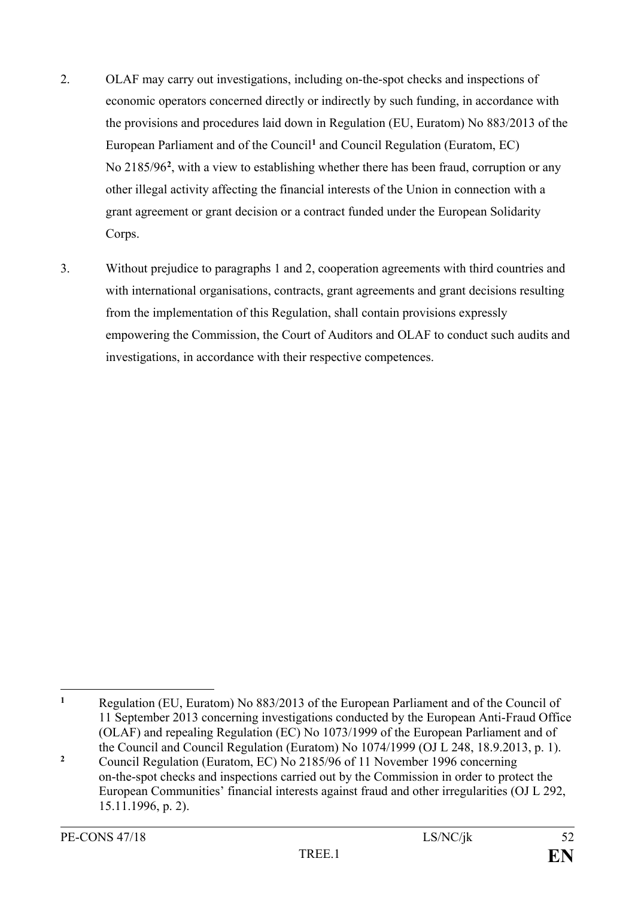- 2. OLAF may carry out investigations, including on-the-spot checks and inspections of economic operators concerned directly or indirectly by such funding, in accordance with the provisions and procedures laid down in Regulation (EU, Euratom) No 883/2013 of the European Parliament and of the Council**[1](#page-52-0)** and Council Regulation (Euratom, EC) No 2185/96**[2](#page-52-1)** , with a view to establishing whether there has been fraud, corruption or any other illegal activity affecting the financial interests of the Union in connection with a grant agreement or grant decision or a contract funded under the European Solidarity Corps.
- 3. Without prejudice to paragraphs 1 and 2, cooperation agreements with third countries and with international organisations, contracts, grant agreements and grant decisions resulting from the implementation of this Regulation, shall contain provisions expressly empowering the Commission, the Court of Auditors and OLAF to conduct such audits and investigations, in accordance with their respective competences.

<span id="page-52-0"></span> $\mathbf{1}$ **<sup>1</sup>** Regulation (EU, Euratom) No 883/2013 of the European Parliament and of the Council of 11 September 2013 concerning investigations conducted by the European Anti-Fraud Office (OLAF) and repealing Regulation (EC) No 1073/1999 of the European Parliament and of the Council and Council Regulation (Euratom) No 1074/1999 (OJ L 248, 18.9.2013, p. 1).

<span id="page-52-1"></span>**<sup>2</sup>** Council Regulation (Euratom, EC) No 2185/96 of 11 November 1996 concerning on-the-spot checks and inspections carried out by the Commission in order to protect the European Communities' financial interests against fraud and other irregularities (OJ L 292, 15.11.1996, p. 2).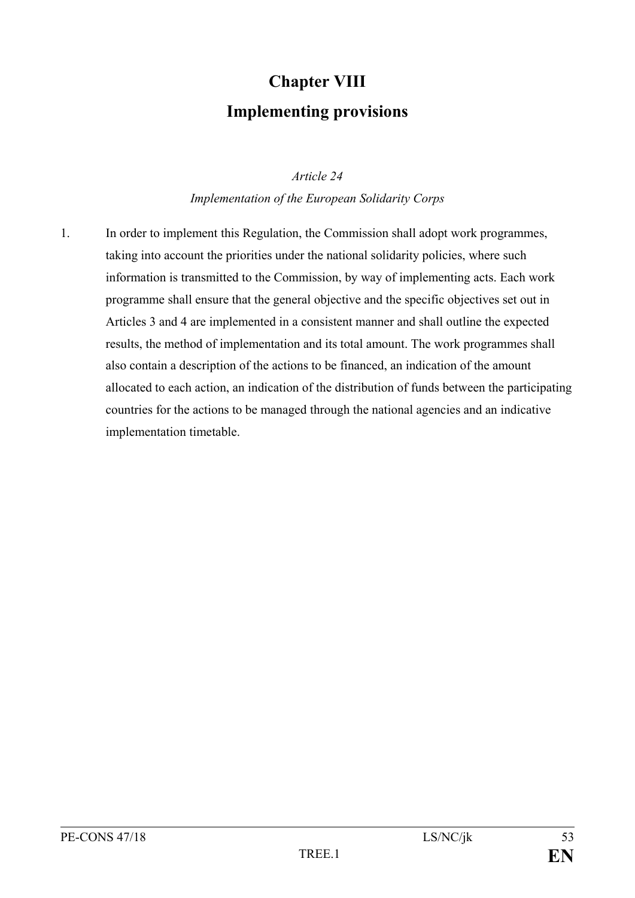## **Chapter VIII Implementing provisions**

*Article 24*

*Implementation of the European Solidarity Corps*

1. In order to implement this Regulation, the Commission shall adopt work programmes, taking into account the priorities under the national solidarity policies, where such information is transmitted to the Commission, by way of implementing acts. Each work programme shall ensure that the general objective and the specific objectives set out in Articles 3 and 4 are implemented in a consistent manner and shall outline the expected results, the method of implementation and its total amount. The work programmes shall also contain a description of the actions to be financed, an indication of the amount allocated to each action, an indication of the distribution of funds between the participating countries for the actions to be managed through the national agencies and an indicative implementation timetable.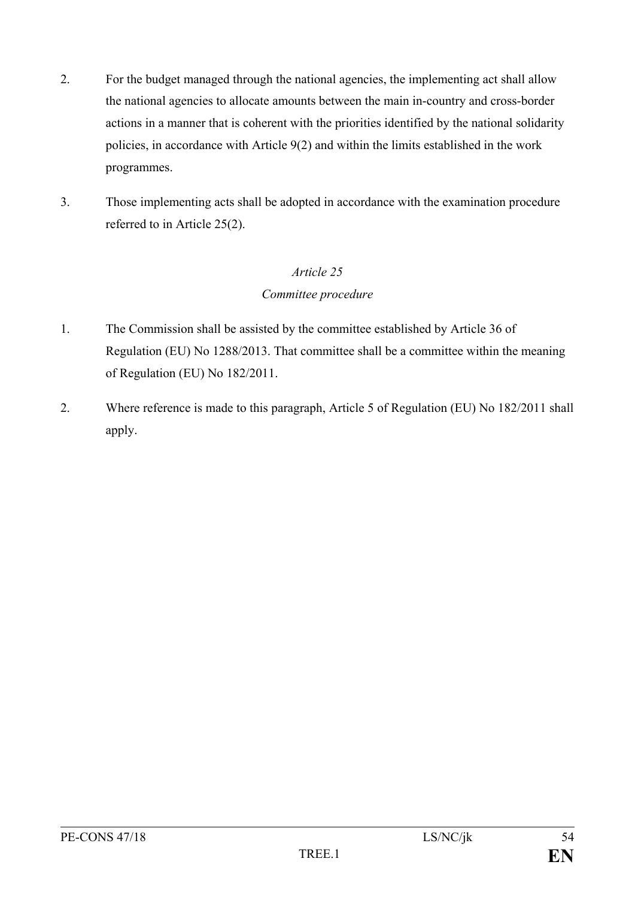- 2. For the budget managed through the national agencies, the implementing act shall allow the national agencies to allocate amounts between the main in-country and cross-border actions in a manner that is coherent with the priorities identified by the national solidarity policies, in accordance with Article 9(2) and within the limits established in the work programmes.
- 3. Those implementing acts shall be adopted in accordance with the examination procedure referred to in Article 25(2).

### *Committee procedure*

- 1. The Commission shall be assisted by the committee established by Article 36 of Regulation (EU) No 1288/2013. That committee shall be a committee within the meaning of Regulation (EU) No 182/2011.
- 2. Where reference is made to this paragraph, Article 5 of Regulation (EU) No 182/2011 shall apply.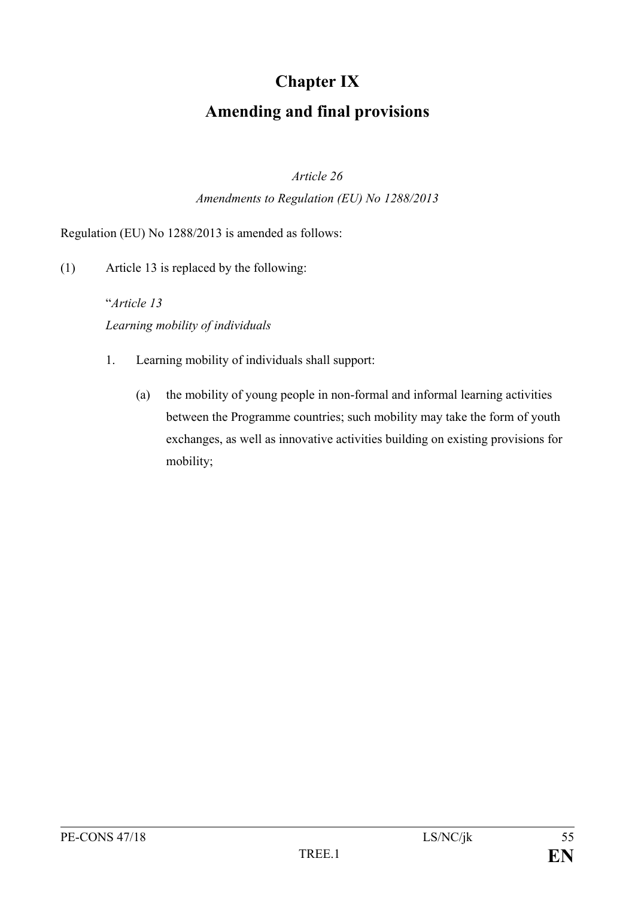## **Chapter IX Amending and final provisions**

### *Article 26*

### *Amendments to Regulation (EU) No 1288/2013*

Regulation (EU) No 1288/2013 is amended as follows:

(1) Article 13 is replaced by the following:

"*Article 13 Learning mobility of individuals*

- 1. Learning mobility of individuals shall support:
	- (a) the mobility of young people in non-formal and informal learning activities between the Programme countries; such mobility may take the form of youth exchanges, as well as innovative activities building on existing provisions for mobility;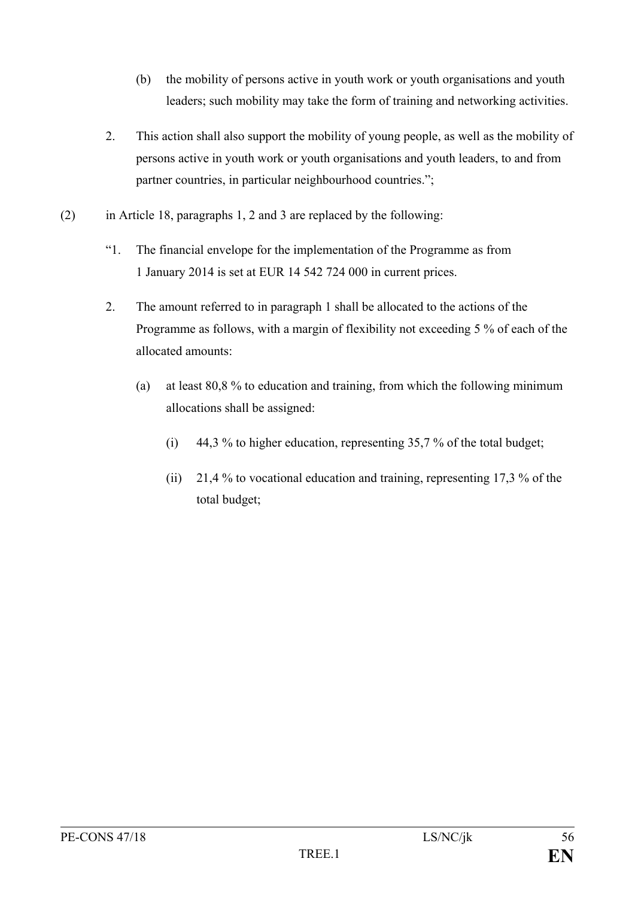- (b) the mobility of persons active in youth work or youth organisations and youth leaders; such mobility may take the form of training and networking activities.
- 2. This action shall also support the mobility of young people, as well as the mobility of persons active in youth work or youth organisations and youth leaders, to and from partner countries, in particular neighbourhood countries.";
- (2) in Article 18, paragraphs 1, 2 and 3 are replaced by the following:
	- "1. The financial envelope for the implementation of the Programme as from 1 January 2014 is set at EUR 14 542 724 000 in current prices.
	- 2. The amount referred to in paragraph 1 shall be allocated to the actions of the Programme as follows, with a margin of flexibility not exceeding 5 % of each of the allocated amounts:
		- (a) at least 80,8 % to education and training, from which the following minimum allocations shall be assigned:
			- (i) 44,3 % to higher education, representing 35,7 % of the total budget;
			- (ii) 21,4 % to vocational education and training, representing 17,3 % of the total budget;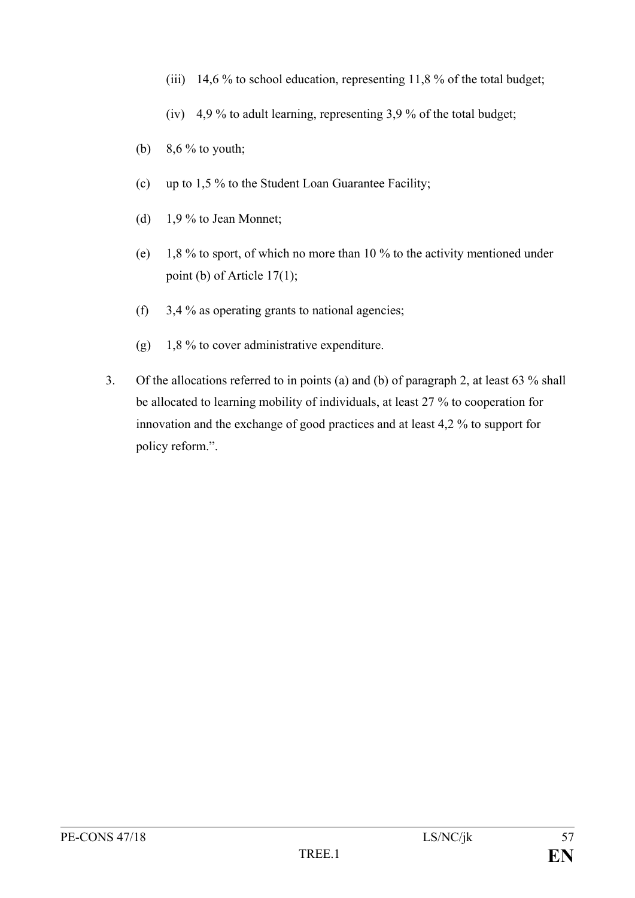- (iii) 14,6 % to school education, representing 11,8 % of the total budget;
- (iv) 4,9 % to adult learning, representing 3,9 % of the total budget;
- (b)  $8,6\%$  to youth;
- (c) up to 1,5 % to the Student Loan Guarantee Facility;
- (d) 1,9 % to Jean Monnet;
- (e) 1,8 % to sport, of which no more than 10 % to the activity mentioned under point (b) of Article 17(1);
- (f)  $3.4\%$  as operating grants to national agencies;
- (g) 1,8 % to cover administrative expenditure.
- 3. Of the allocations referred to in points (a) and (b) of paragraph 2, at least 63 % shall be allocated to learning mobility of individuals, at least 27 % to cooperation for innovation and the exchange of good practices and at least 4,2 % to support for policy reform.".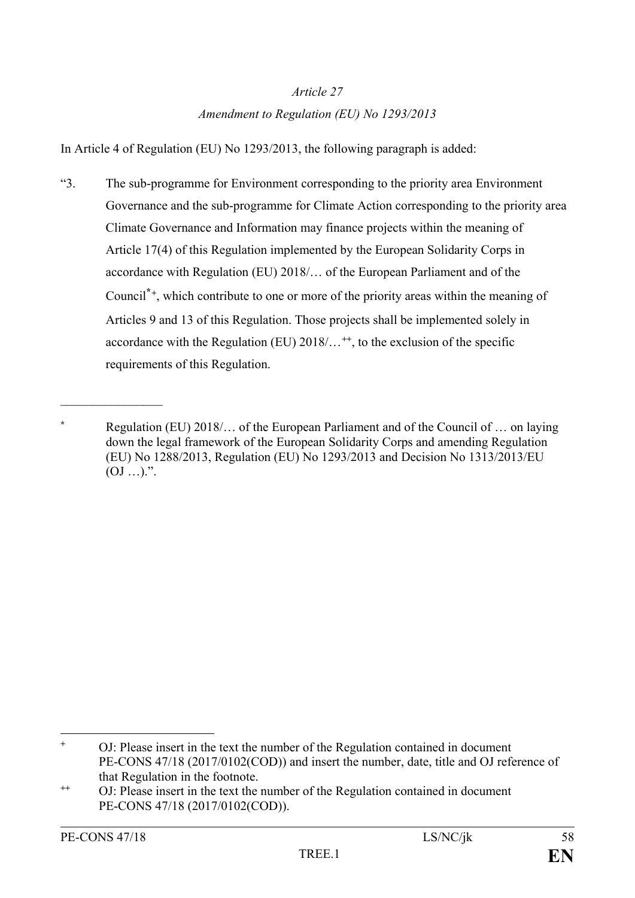### *Article 27 Amendment to Regulation (EU) No 1293/2013*

In Article 4 of Regulation (EU) No 1293/2013, the following paragraph is added:

"3. The sub-programme for Environment corresponding to the priority area Environment Governance and the sub-programme for Climate Action corresponding to the priority area Climate Governance and Information may finance projects within the meaning of Article 17(4) of this Regulation implemented by the European Solidarity Corps in accordance with Regulation (EU) 2018/… of the European Parliament and of the Council**\*[+](#page-58-0)**, which contribute to one or more of the priority areas within the meaning of Articles 9 and 13 of this Regulation. Those projects shall be implemented solely in accordance with the Regulation (EU) 2018/…**[++](#page-58-1)**, to the exclusion of the specific requirements of this Regulation.

 $\mathcal{L}_\text{max}$  , where  $\mathcal{L}_\text{max}$ 

**<sup>\*</sup>** Regulation (EU) 2018/… of the European Parliament and of the Council of … on laying down the legal framework of the European Solidarity Corps and amending Regulation (EU) No 1288/2013, Regulation (EU) No 1293/2013 and Decision No 1313/2013/EU  $(OJ \dots)$ .".

<span id="page-58-0"></span> $\overline{a}$ **<sup>+</sup>** OJ: Please insert in the text the number of the Regulation contained in document PE-CONS 47/18 (2017/0102(COD)) and insert the number, date, title and OJ reference of that Regulation in the footnote.

<span id="page-58-1"></span>**<sup>++</sup>** OJ: Please insert in the text the number of the Regulation contained in document PE-CONS 47/18 (2017/0102(COD)).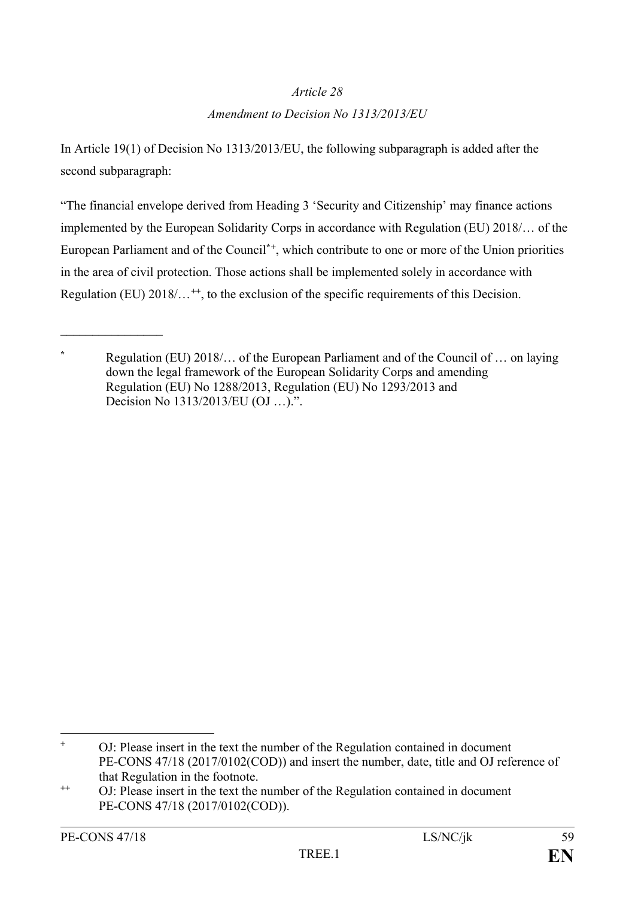### *Amendment to Decision No 1313/2013/EU*

In Article 19(1) of Decision No 1313/2013/EU, the following subparagraph is added after the second subparagraph:

"The financial envelope derived from Heading 3 'Security and Citizenship' may finance actions implemented by the European Solidarity Corps in accordance with Regulation (EU) 2018/… of the European Parliament and of the Council**\*[+](#page-59-0)**, which contribute to one or more of the Union priorities in the area of civil protection. Those actions shall be implemented solely in accordance with Regulation (EU) 2018/...<sup>[++](#page-59-1)</sup>, to the exclusion of the specific requirements of this Decision.

 $\mathcal{L}_\text{max}$  , where  $\mathcal{L}_\text{max}$ 

**<sup>\*</sup>** Regulation (EU) 2018/… of the European Parliament and of the Council of … on laying down the legal framework of the European Solidarity Corps and amending Regulation (EU) No 1288/2013, Regulation (EU) No 1293/2013 and Decision No 1313/2013/EU (OJ …).".

<span id="page-59-0"></span> $\ddot{+}$ **<sup>+</sup>** OJ: Please insert in the text the number of the Regulation contained in document PE-CONS 47/18 (2017/0102(COD)) and insert the number, date, title and OJ reference of that Regulation in the footnote.

<span id="page-59-1"></span>**<sup>++</sup>** OJ: Please insert in the text the number of the Regulation contained in document PE-CONS 47/18 (2017/0102(COD)).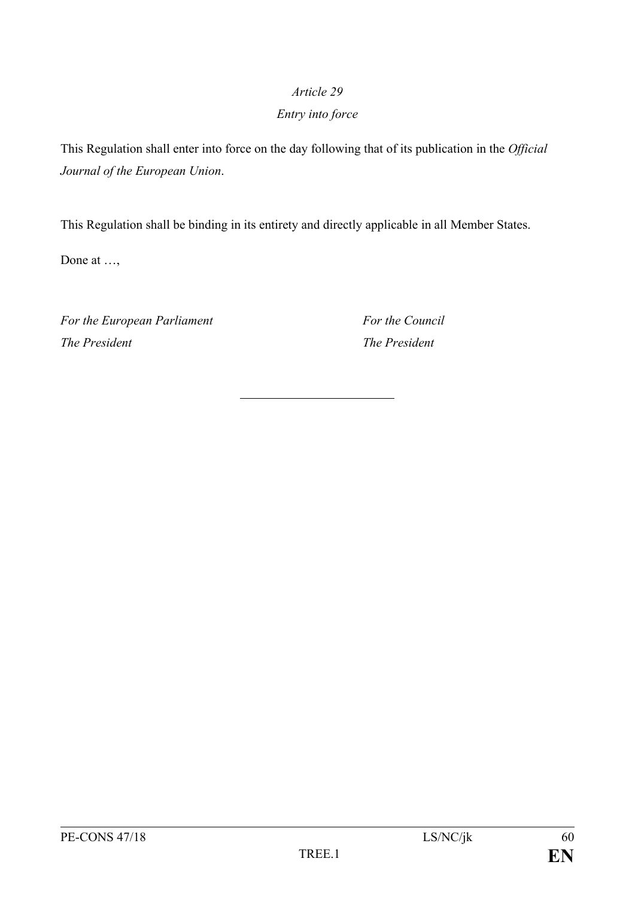### *Entry into force*

This Regulation shall enter into force on the day following that of its publication in the *Official Journal of the European Union*.

This Regulation shall be binding in its entirety and directly applicable in all Member States.

Done at …,

*For the European Parliament For the Council The President The President*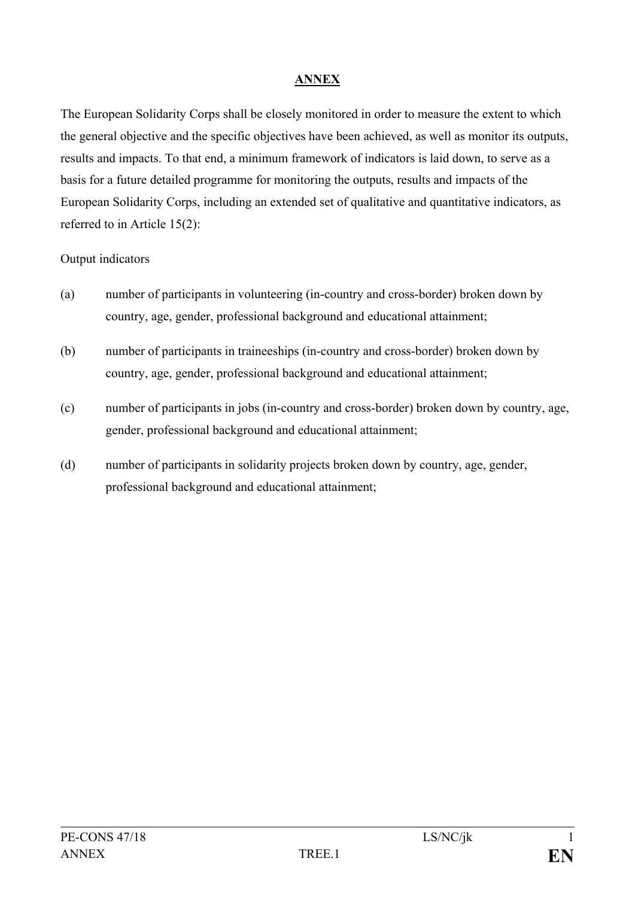### **ANNEX**

The European Solidarity Corps shall be closely monitored in order to measure the extent to which the general objective and the specific objectives have been achieved, as well as monitor its outputs, results and impacts. To that end, a minimum framework of indicators is laid down, to serve as a basis for a future detailed programme for monitoring the outputs, results and impacts of the European Solidarity Corps, including an extended set of qualitative and quantitative indicators, as referred to in Article 15(2):

### Output indicators

- (a) number of participants in volunteering (in-country and cross-border) broken down by country, age, gender, professional background and educational attainment;
- (b) number of participants in traineeships (in-country and cross-border) broken down by country, age, gender, professional background and educational attainment;
- (c) number of participants in jobs (in-country and cross-border) broken down by country, age, gender, professional background and educational attainment;
- (d) number of participants in solidarity projects broken down by country, age, gender, professional background and educational attainment;